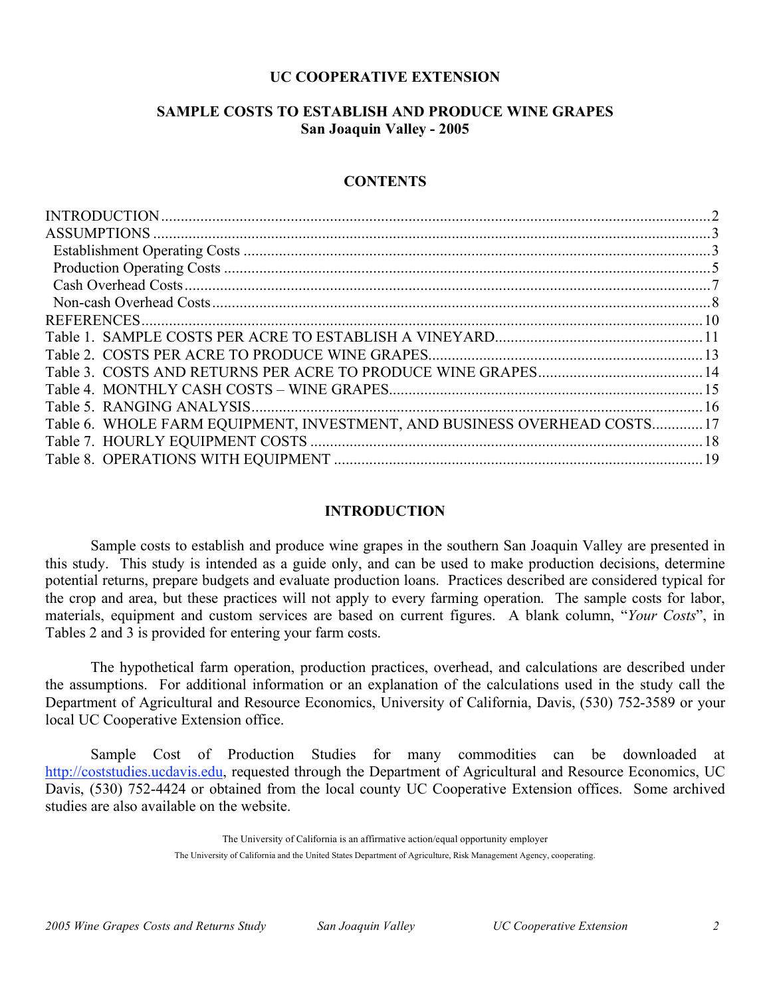## **UC COOPERATIVE EXTENSION**

## **SAMPLE COSTS TO ESTABLISH AND PRODUCE WINE GRAPES San Joaquin Valley - 2005**

## **CONTENTS**

| REFERENCES.                                                              |  |
|--------------------------------------------------------------------------|--|
|                                                                          |  |
|                                                                          |  |
|                                                                          |  |
|                                                                          |  |
|                                                                          |  |
| Table 6. WHOLE FARM EQUIPMENT, INVESTMENT, AND BUSINESS OVERHEAD COSTS17 |  |
|                                                                          |  |
|                                                                          |  |
|                                                                          |  |

### **INTRODUCTION**

Sample costs to establish and produce wine grapes in the southern San Joaquin Valley are presented in this study. This study is intended as a guide only, and can be used to make production decisions, determine potential returns, prepare budgets and evaluate production loans. Practices described are considered typical for the crop and area, but these practices will not apply to every farming operation. The sample costs for labor, materials, equipment and custom services are based on current figures. A blank column, "*Your Costs*", in Tables 2 and 3 is provided for entering your farm costs.

The hypothetical farm operation, production practices, overhead, and calculations are described under the assumptions. For additional information or an explanation of the calculations used in the study call the Department of Agricultural and Resource Economics, University of California, Davis, (530) 752-3589 or your local UC Cooperative Extension office.

Sample Cost of Production Studies for many commodities can be downloaded at http://coststudies.ucdavis.edu, requested through the Department of Agricultural and Resource Economics, UC Davis, (530) 752-4424 or obtained from the local county UC Cooperative Extension offices. Some archived studies are also available on the website.

> The University of California is an affirmative action/equal opportunity employer The University of California and the United States Department of Agriculture, Risk Management Agency, cooperating.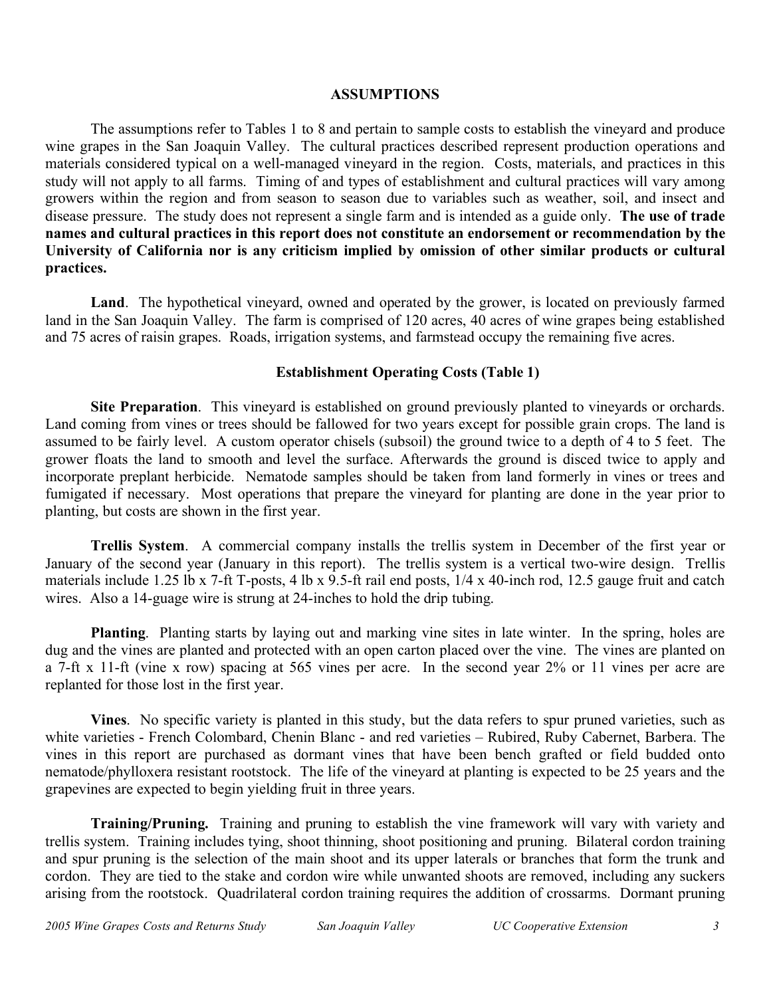### **ASSUMPTIONS**

The assumptions refer to Tables 1 to 8 and pertain to sample costs to establish the vineyard and produce wine grapes in the San Joaquin Valley. The cultural practices described represent production operations and materials considered typical on a well-managed vineyard in the region. Costs, materials, and practices in this study will not apply to all farms. Timing of and types of establishment and cultural practices will vary among growers within the region and from season to season due to variables such as weather, soil, and insect and disease pressure. The study does not represent a single farm and is intended as a guide only. **The use of trade names and cultural practices in this report does not constitute an endorsement or recommendation by the University of California nor is any criticism implied by omission of other similar products or cultural practices.**

**Land**. The hypothetical vineyard, owned and operated by the grower, is located on previously farmed land in the San Joaquin Valley. The farm is comprised of 120 acres, 40 acres of wine grapes being established and 75 acres of raisin grapes. Roads, irrigation systems, and farmstead occupy the remaining five acres.

### **Establishment Operating Costs (Table 1)**

**Site Preparation**. This vineyard is established on ground previously planted to vineyards or orchards. Land coming from vines or trees should be fallowed for two years except for possible grain crops. The land is assumed to be fairly level. A custom operator chisels (subsoil) the ground twice to a depth of 4 to 5 feet. The grower floats the land to smooth and level the surface. Afterwards the ground is disced twice to apply and incorporate preplant herbicide. Nematode samples should be taken from land formerly in vines or trees and fumigated if necessary. Most operations that prepare the vineyard for planting are done in the year prior to planting, but costs are shown in the first year.

**Trellis System**. A commercial company installs the trellis system in December of the first year or January of the second year (January in this report). The trellis system is a vertical two-wire design. Trellis materials include 1.25 lb x 7-ft T-posts, 4 lb x 9.5-ft rail end posts, 1/4 x 40-inch rod, 12.5 gauge fruit and catch wires. Also a 14-guage wire is strung at 24-inches to hold the drip tubing.

**Planting**. Planting starts by laying out and marking vine sites in late winter. In the spring, holes are dug and the vines are planted and protected with an open carton placed over the vine. The vines are planted on a 7-ft x 11-ft (vine x row) spacing at 565 vines per acre. In the second year 2% or 11 vines per acre are replanted for those lost in the first year.

**Vines**. No specific variety is planted in this study, but the data refers to spur pruned varieties, such as white varieties - French Colombard, Chenin Blanc - and red varieties – Rubired, Ruby Cabernet, Barbera. The vines in this report are purchased as dormant vines that have been bench grafted or field budded onto nematode/phylloxera resistant rootstock. The life of the vineyard at planting is expected to be 25 years and the grapevines are expected to begin yielding fruit in three years.

**Training/Pruning.** Training and pruning to establish the vine framework will vary with variety and trellis system. Training includes tying, shoot thinning, shoot positioning and pruning. Bilateral cordon training and spur pruning is the selection of the main shoot and its upper laterals or branches that form the trunk and cordon. They are tied to the stake and cordon wire while unwanted shoots are removed, including any suckers arising from the rootstock. Quadrilateral cordon training requires the addition of crossarms. Dormant pruning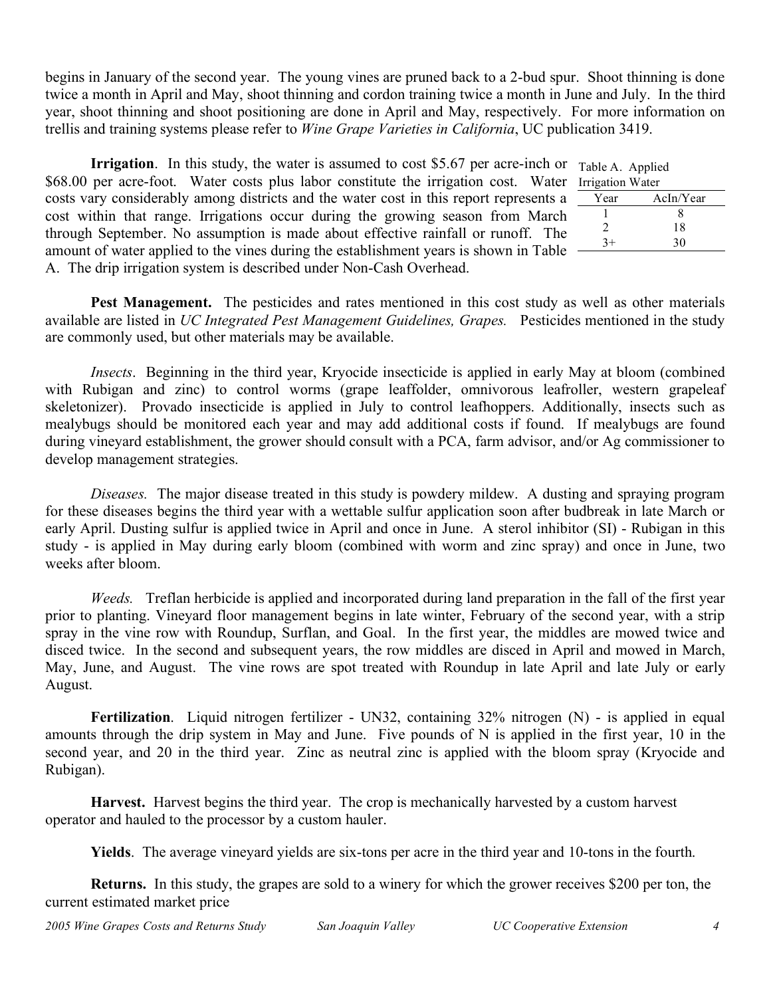begins in January of the second year. The young vines are pruned back to a 2-bud spur. Shoot thinning is done twice a month in April and May, shoot thinning and cordon training twice a month in June and July. In the third year, shoot thinning and shoot positioning are done in April and May, respectively. For more information on trellis and training systems please refer to *Wine Grape Varieties in California*, UC publication 3419.

**Irrigation**. In this study, the water is assumed to cost \$5.67 per acre-inch or \$68.00 per acre-foot. Water costs plus labor constitute the irrigation cost. Water costs vary considerably among districts and the water cost in this report represents a cost within that range. Irrigations occur during the growing season from March through September. No assumption is made about effective rainfall or runoff. The amount of water applied to the vines during the establishment years is shown in Table A. The drip irrigation system is described under Non-Cash Overhead.

| Table A. Applied |           |
|------------------|-----------|
| Irrigation Water |           |
| Year             | AcIn/Year |
|                  | 8         |
| $\mathfrak{D}$   | 18        |
| $3+$             | 30        |

**Pest Management.** The pesticides and rates mentioned in this cost study as well as other materials available are listed in *UC Integrated Pest Management Guidelines, Grapes.* Pesticides mentioned in the study are commonly used, but other materials may be available.

*Insects*. Beginning in the third year, Kryocide insecticide is applied in early May at bloom (combined with Rubigan and zinc) to control worms (grape leaffolder, omnivorous leafroller, western grapeleaf skeletonizer). Provado insecticide is applied in July to control leafhoppers. Additionally, insects such as mealybugs should be monitored each year and may add additional costs if found. If mealybugs are found during vineyard establishment, the grower should consult with a PCA, farm advisor, and/or Ag commissioner to develop management strategies.

*Diseases.* The major disease treated in this study is powdery mildew. A dusting and spraying program for these diseases begins the third year with a wettable sulfur application soon after budbreak in late March or early April. Dusting sulfur is applied twice in April and once in June. A sterol inhibitor (SI) - Rubigan in this study - is applied in May during early bloom (combined with worm and zinc spray) and once in June, two weeks after bloom.

*Weeds.* Treflan herbicide is applied and incorporated during land preparation in the fall of the first year prior to planting. Vineyard floor management begins in late winter, February of the second year, with a strip spray in the vine row with Roundup, Surflan, and Goal. In the first year, the middles are mowed twice and disced twice. In the second and subsequent years, the row middles are disced in April and mowed in March, May, June, and August. The vine rows are spot treated with Roundup in late April and late July or early August.

**Fertilization.** Liquid nitrogen fertilizer - UN32, containing 32% nitrogen (N) - is applied in equal amounts through the drip system in May and June. Five pounds of N is applied in the first year, 10 in the second year, and 20 in the third year. Zinc as neutral zinc is applied with the bloom spray (Kryocide and Rubigan).

**Harvest.** Harvest begins the third year. The crop is mechanically harvested by a custom harvest operator and hauled to the processor by a custom hauler.

**Yields**. The average vineyard yields are six-tons per acre in the third year and 10-tons in the fourth.

**Returns.** In this study, the grapes are sold to a winery for which the grower receives \$200 per ton, the current estimated market price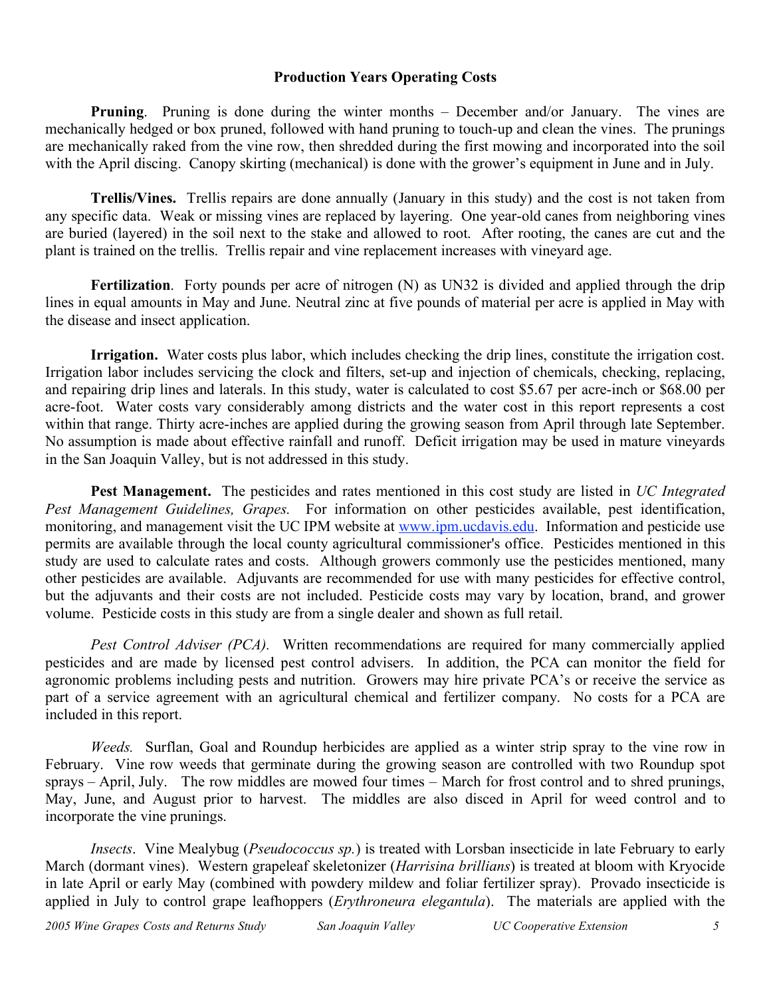## **Production Years Operating Costs**

**Pruning**. Pruning is done during the winter months – December and/or January. The vines are mechanically hedged or box pruned, followed with hand pruning to touch-up and clean the vines. The prunings are mechanically raked from the vine row, then shredded during the first mowing and incorporated into the soil with the April discing. Canopy skirting (mechanical) is done with the grower's equipment in June and in July.

**Trellis/Vines.** Trellis repairs are done annually (January in this study) and the cost is not taken from any specific data. Weak or missing vines are replaced by layering. One year-old canes from neighboring vines are buried (layered) in the soil next to the stake and allowed to root. After rooting, the canes are cut and the plant is trained on the trellis. Trellis repair and vine replacement increases with vineyard age.

**Fertilization**. Forty pounds per acre of nitrogen (N) as UN32 is divided and applied through the drip lines in equal amounts in May and June. Neutral zinc at five pounds of material per acre is applied in May with the disease and insect application.

**Irrigation.** Water costs plus labor, which includes checking the drip lines, constitute the irrigation cost. Irrigation labor includes servicing the clock and filters, set-up and injection of chemicals, checking, replacing, and repairing drip lines and laterals. In this study, water is calculated to cost \$5.67 per acre-inch or \$68.00 per acre-foot. Water costs vary considerably among districts and the water cost in this report represents a cost within that range. Thirty acre-inches are applied during the growing season from April through late September. No assumption is made about effective rainfall and runoff. Deficit irrigation may be used in mature vineyards in the San Joaquin Valley, but is not addressed in this study.

**Pest Management.** The pesticides and rates mentioned in this cost study are listed in *UC Integrated Pest Management Guidelines, Grapes.* For information on other pesticides available, pest identification, monitoring, and management visit the UC IPM website at www.ipm.ucdavis.edu. Information and pesticide use permits are available through the local county agricultural commissioner's office. Pesticides mentioned in this study are used to calculate rates and costs. Although growers commonly use the pesticides mentioned, many other pesticides are available. Adjuvants are recommended for use with many pesticides for effective control, but the adjuvants and their costs are not included. Pesticide costs may vary by location, brand, and grower volume. Pesticide costs in this study are from a single dealer and shown as full retail.

*Pest Control Adviser (PCA).* Written recommendations are required for many commercially applied pesticides and are made by licensed pest control advisers. In addition, the PCA can monitor the field for agronomic problems including pests and nutrition. Growers may hire private PCA's or receive the service as part of a service agreement with an agricultural chemical and fertilizer company. No costs for a PCA are included in this report.

*Weeds.* Surflan, Goal and Roundup herbicides are applied as a winter strip spray to the vine row in February. Vine row weeds that germinate during the growing season are controlled with two Roundup spot sprays – April, July. The row middles are mowed four times – March for frost control and to shred prunings, May, June, and August prior to harvest. The middles are also disced in April for weed control and to incorporate the vine prunings.

*Insects*. Vine Mealybug (*Pseudococcus sp.*) is treated with Lorsban insecticide in late February to early March (dormant vines). Western grapeleaf skeletonizer (*Harrisina brillians*) is treated at bloom with Kryocide in late April or early May (combined with powdery mildew and foliar fertilizer spray). Provado insecticide is applied in July to control grape leafhoppers (*Erythroneura elegantula*). The materials are applied with the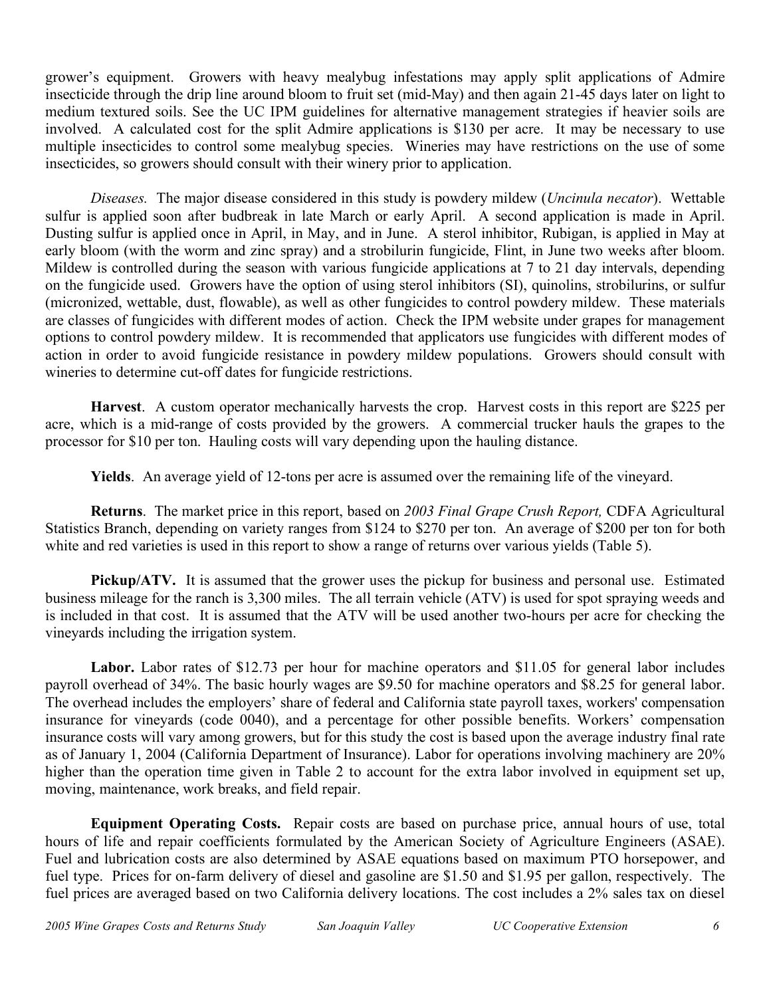grower's equipment. Growers with heavy mealybug infestations may apply split applications of Admire insecticide through the drip line around bloom to fruit set (mid-May) and then again 21-45 days later on light to medium textured soils. See the UC IPM guidelines for alternative management strategies if heavier soils are involved. A calculated cost for the split Admire applications is \$130 per acre. It may be necessary to use multiple insecticides to control some mealybug species. Wineries may have restrictions on the use of some insecticides, so growers should consult with their winery prior to application.

*Diseases.* The major disease considered in this study is powdery mildew (*Uncinula necator*). Wettable sulfur is applied soon after budbreak in late March or early April. A second application is made in April. Dusting sulfur is applied once in April, in May, and in June. A sterol inhibitor, Rubigan, is applied in May at early bloom (with the worm and zinc spray) and a strobilurin fungicide, Flint, in June two weeks after bloom. Mildew is controlled during the season with various fungicide applications at 7 to 21 day intervals, depending on the fungicide used. Growers have the option of using sterol inhibitors (SI), quinolins, strobilurins, or sulfur (micronized, wettable, dust, flowable), as well as other fungicides to control powdery mildew. These materials are classes of fungicides with different modes of action. Check the IPM website under grapes for management options to control powdery mildew. It is recommended that applicators use fungicides with different modes of action in order to avoid fungicide resistance in powdery mildew populations. Growers should consult with wineries to determine cut-off dates for fungicide restrictions.

**Harvest**. A custom operator mechanically harvests the crop. Harvest costs in this report are \$225 per acre, which is a mid-range of costs provided by the growers. A commercial trucker hauls the grapes to the processor for \$10 per ton. Hauling costs will vary depending upon the hauling distance.

**Yields**. An average yield of 12-tons per acre is assumed over the remaining life of the vineyard.

**Returns**. The market price in this report, based on *2003 Final Grape Crush Report,* CDFA Agricultural Statistics Branch, depending on variety ranges from \$124 to \$270 per ton. An average of \$200 per ton for both white and red varieties is used in this report to show a range of returns over various yields (Table 5).

**Pickup/ATV.** It is assumed that the grower uses the pickup for business and personal use. Estimated business mileage for the ranch is 3,300 miles. The all terrain vehicle (ATV) is used for spot spraying weeds and is included in that cost. It is assumed that the ATV will be used another two-hours per acre for checking the vineyards including the irrigation system.

**Labor.** Labor rates of \$12.73 per hour for machine operators and \$11.05 for general labor includes payroll overhead of 34%. The basic hourly wages are \$9.50 for machine operators and \$8.25 for general labor. The overhead includes the employers' share of federal and California state payroll taxes, workers' compensation insurance for vineyards (code 0040), and a percentage for other possible benefits. Workers' compensation insurance costs will vary among growers, but for this study the cost is based upon the average industry final rate as of January 1, 2004 (California Department of Insurance). Labor for operations involving machinery are 20% higher than the operation time given in Table 2 to account for the extra labor involved in equipment set up, moving, maintenance, work breaks, and field repair.

**Equipment Operating Costs.** Repair costs are based on purchase price, annual hours of use, total hours of life and repair coefficients formulated by the American Society of Agriculture Engineers (ASAE). Fuel and lubrication costs are also determined by ASAE equations based on maximum PTO horsepower, and fuel type. Prices for on-farm delivery of diesel and gasoline are \$1.50 and \$1.95 per gallon, respectively. The fuel prices are averaged based on two California delivery locations. The cost includes a 2% sales tax on diesel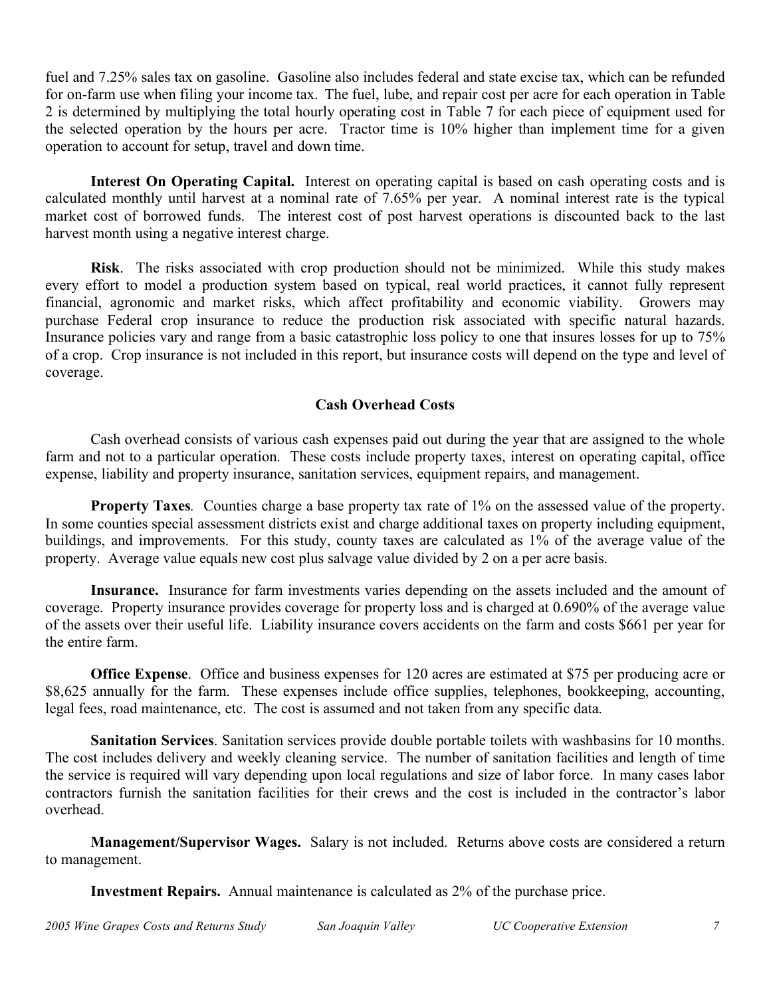fuel and 7.25% sales tax on gasoline. Gasoline also includes federal and state excise tax, which can be refunded for on-farm use when filing your income tax. The fuel, lube, and repair cost per acre for each operation in Table 2 is determined by multiplying the total hourly operating cost in Table 7 for each piece of equipment used for the selected operation by the hours per acre. Tractor time is 10% higher than implement time for a given operation to account for setup, travel and down time.

**Interest On Operating Capital.** Interest on operating capital is based on cash operating costs and is calculated monthly until harvest at a nominal rate of 7.65% per year. A nominal interest rate is the typical market cost of borrowed funds. The interest cost of post harvest operations is discounted back to the last harvest month using a negative interest charge.

**Risk**. The risks associated with crop production should not be minimized. While this study makes every effort to model a production system based on typical, real world practices, it cannot fully represent financial, agronomic and market risks, which affect profitability and economic viability. Growers may purchase Federal crop insurance to reduce the production risk associated with specific natural hazards. Insurance policies vary and range from a basic catastrophic loss policy to one that insures losses for up to 75% of a crop. Crop insurance is not included in this report, but insurance costs will depend on the type and level of coverage.

# **Cash Overhead Costs**

Cash overhead consists of various cash expenses paid out during the year that are assigned to the whole farm and not to a particular operation. These costs include property taxes, interest on operating capital, office expense, liability and property insurance, sanitation services, equipment repairs, and management.

**Property Taxes***.* Counties charge a base property tax rate of 1% on the assessed value of the property. In some counties special assessment districts exist and charge additional taxes on property including equipment, buildings, and improvements. For this study, county taxes are calculated as 1% of the average value of the property. Average value equals new cost plus salvage value divided by 2 on a per acre basis.

**Insurance.** Insurance for farm investments varies depending on the assets included and the amount of coverage. Property insurance provides coverage for property loss and is charged at 0.690% of the average value of the assets over their useful life. Liability insurance covers accidents on the farm and costs \$661 per year for the entire farm.

**Office Expense**. Office and business expenses for 120 acres are estimated at \$75 per producing acre or \$8,625 annually for the farm. These expenses include office supplies, telephones, bookkeeping, accounting, legal fees, road maintenance, etc. The cost is assumed and not taken from any specific data.

**Sanitation Services**. Sanitation services provide double portable toilets with washbasins for 10 months. The cost includes delivery and weekly cleaning service. The number of sanitation facilities and length of time the service is required will vary depending upon local regulations and size of labor force. In many cases labor contractors furnish the sanitation facilities for their crews and the cost is included in the contractor's labor overhead.

**Management/Supervisor Wages.** Salary is not included. Returns above costs are considered a return to management.

**Investment Repairs.** Annual maintenance is calculated as 2% of the purchase price.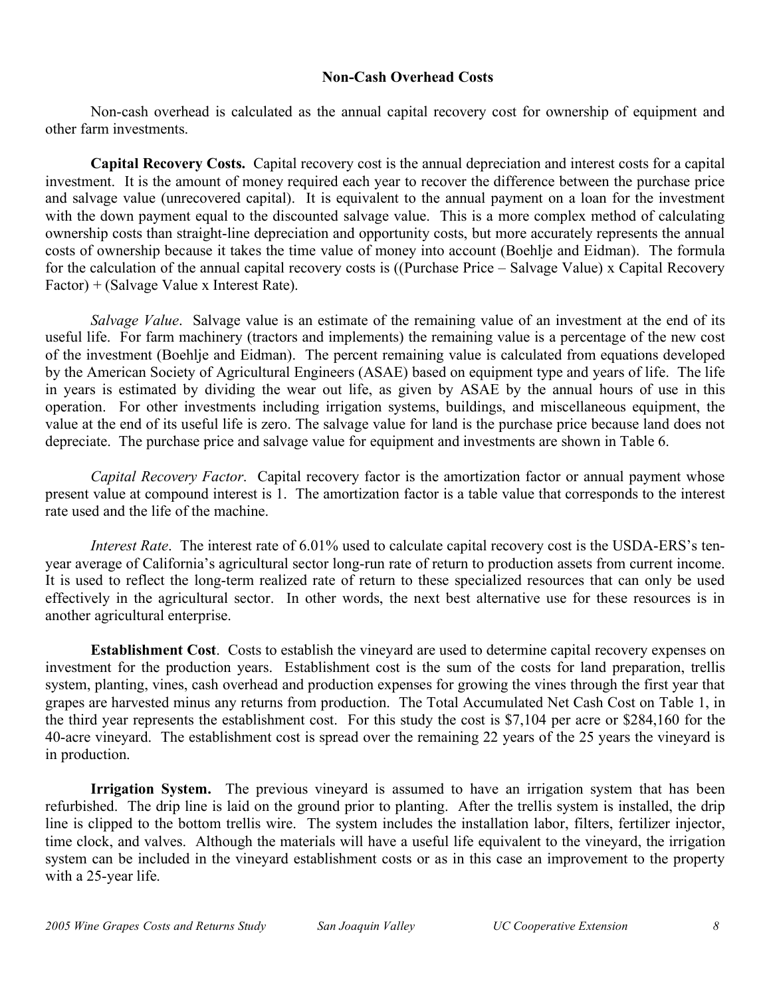## **Non-Cash Overhead Costs**

Non-cash overhead is calculated as the annual capital recovery cost for ownership of equipment and other farm investments.

**Capital Recovery Costs.** Capital recovery cost is the annual depreciation and interest costs for a capital investment. It is the amount of money required each year to recover the difference between the purchase price and salvage value (unrecovered capital). It is equivalent to the annual payment on a loan for the investment with the down payment equal to the discounted salvage value. This is a more complex method of calculating ownership costs than straight-line depreciation and opportunity costs, but more accurately represents the annual costs of ownership because it takes the time value of money into account (Boehlje and Eidman). The formula for the calculation of the annual capital recovery costs is ((Purchase Price – Salvage Value) x Capital Recovery Factor) + (Salvage Value x Interest Rate).

*Salvage Value*. Salvage value is an estimate of the remaining value of an investment at the end of its useful life. For farm machinery (tractors and implements) the remaining value is a percentage of the new cost of the investment (Boehlje and Eidman). The percent remaining value is calculated from equations developed by the American Society of Agricultural Engineers (ASAE) based on equipment type and years of life. The life in years is estimated by dividing the wear out life, as given by ASAE by the annual hours of use in this operation. For other investments including irrigation systems, buildings, and miscellaneous equipment, the value at the end of its useful life is zero. The salvage value for land is the purchase price because land does not depreciate. The purchase price and salvage value for equipment and investments are shown in Table 6.

*Capital Recovery Factor*. Capital recovery factor is the amortization factor or annual payment whose present value at compound interest is 1. The amortization factor is a table value that corresponds to the interest rate used and the life of the machine.

*Interest Rate*. The interest rate of 6.01% used to calculate capital recovery cost is the USDA-ERS's tenyear average of California's agricultural sector long-run rate of return to production assets from current income. It is used to reflect the long-term realized rate of return to these specialized resources that can only be used effectively in the agricultural sector. In other words, the next best alternative use for these resources is in another agricultural enterprise.

**Establishment Cost**. Costs to establish the vineyard are used to determine capital recovery expenses on investment for the production years. Establishment cost is the sum of the costs for land preparation, trellis system, planting, vines, cash overhead and production expenses for growing the vines through the first year that grapes are harvested minus any returns from production. The Total Accumulated Net Cash Cost on Table 1, in the third year represents the establishment cost. For this study the cost is \$7,104 per acre or \$284,160 for the 40-acre vineyard. The establishment cost is spread over the remaining 22 years of the 25 years the vineyard is in production.

**Irrigation System.** The previous vineyard is assumed to have an irrigation system that has been refurbished. The drip line is laid on the ground prior to planting. After the trellis system is installed, the drip line is clipped to the bottom trellis wire. The system includes the installation labor, filters, fertilizer injector, time clock, and valves. Although the materials will have a useful life equivalent to the vineyard, the irrigation system can be included in the vineyard establishment costs or as in this case an improvement to the property with a 25-year life.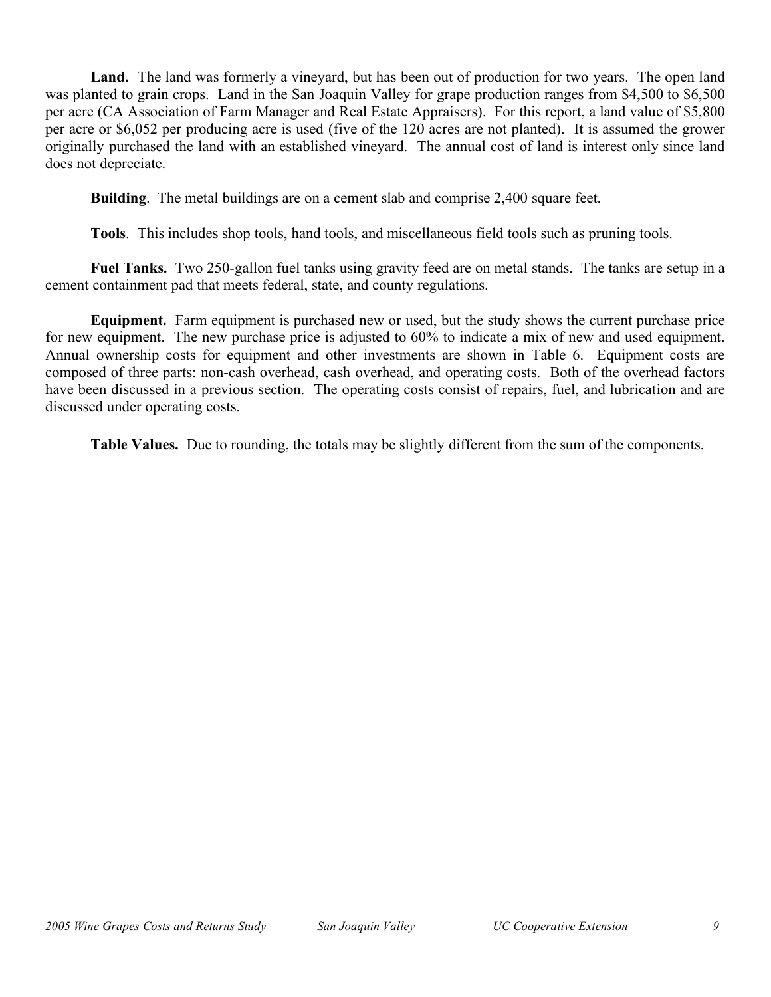**Land.** The land was formerly a vineyard, but has been out of production for two years. The open land was planted to grain crops. Land in the San Joaquin Valley for grape production ranges from \$4,500 to \$6,500 per acre (CA Association of Farm Manager and Real Estate Appraisers). For this report, a land value of \$5,800 per acre or \$6,052 per producing acre is used (five of the 120 acres are not planted). It is assumed the grower originally purchased the land with an established vineyard. The annual cost of land is interest only since land does not depreciate.

**Building.** The metal buildings are on a cement slab and comprise 2,400 square feet.

**Tools**. This includes shop tools, hand tools, and miscellaneous field tools such as pruning tools.

**Fuel Tanks.** Two 250-gallon fuel tanks using gravity feed are on metal stands. The tanks are setup in a cement containment pad that meets federal, state, and county regulations.

**Equipment.** Farm equipment is purchased new or used, but the study shows the current purchase price for new equipment. The new purchase price is adjusted to 60% to indicate a mix of new and used equipment. Annual ownership costs for equipment and other investments are shown in Table 6. Equipment costs are composed of three parts: non-cash overhead, cash overhead, and operating costs. Both of the overhead factors have been discussed in a previous section. The operating costs consist of repairs, fuel, and lubrication and are discussed under operating costs.

**Table Values.** Due to rounding, the totals may be slightly different from the sum of the components.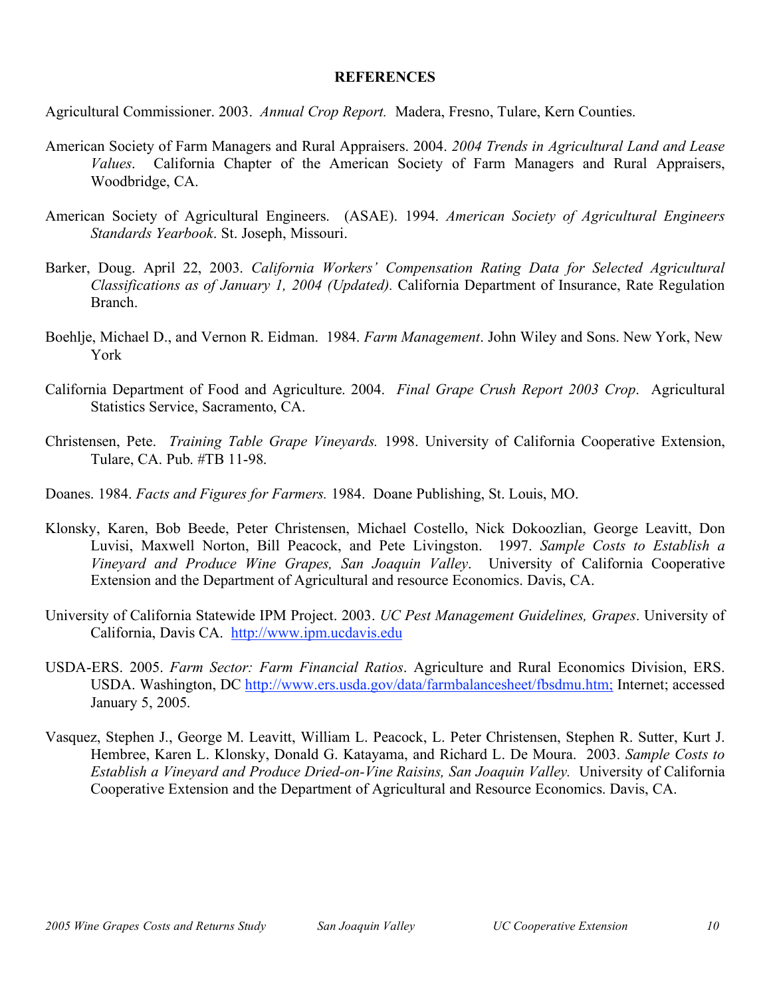### **REFERENCES**

Agricultural Commissioner. 2003. *Annual Crop Report.* Madera, Fresno, Tulare, Kern Counties.

- American Society of Farm Managers and Rural Appraisers. 2004. *2004 Trends in Agricultural Land and Lease Values*. California Chapter of the American Society of Farm Managers and Rural Appraisers, Woodbridge, CA.
- American Society of Agricultural Engineers. (ASAE). 1994. *American Society of Agricultural Engineers Standards Yearbook*. St. Joseph, Missouri.
- Barker, Doug. April 22, 2003. *California Workers' Compensation Rating Data for Selected Agricultural Classifications as of January 1, 2004 (Updated).* California Department of Insurance, Rate Regulation Branch.
- Boehlje, Michael D., and Vernon R. Eidman. 1984. *Farm Management*. John Wiley and Sons. New York, New York
- California Department of Food and Agriculture. 2004. *Final Grape Crush Report 2003 Crop*. Agricultural Statistics Service, Sacramento, CA.
- Christensen, Pete. *Training Table Grape Vineyards.* 1998. University of California Cooperative Extension, Tulare, CA. Pub. #TB 11-98.
- Doanes. 1984. *Facts and Figures for Farmers.* 1984. Doane Publishing, St. Louis, MO.
- Klonsky, Karen, Bob Beede, Peter Christensen, Michael Costello, Nick Dokoozlian, George Leavitt, Don Luvisi, Maxwell Norton, Bill Peacock, and Pete Livingston. 1997. *Sample Costs to Establish a Vineyard and Produce Wine Grapes, San Joaquin Valley*. University of California Cooperative Extension and the Department of Agricultural and resource Economics. Davis, CA.
- University of California Statewide IPM Project. 2003. *UC Pest Management Guidelines, Grapes*. University of California, Davis CA. http://www.ipm.ucdavis.edu
- USDA-ERS. 2005. *Farm Sector: Farm Financial Ratios*. Agriculture and Rural Economics Division, ERS. USDA. Washington, DC http://www.ers.usda.gov/data/farmbalancesheet/fbsdmu.htm; Internet; accessed January 5, 2005.
- Vasquez, Stephen J., George M. Leavitt, William L. Peacock, L. Peter Christensen, Stephen R. Sutter, Kurt J. Hembree, Karen L. Klonsky, Donald G. Katayama, and Richard L. De Moura. 2003. *Sample Costs to Establish a Vineyard and Produce Dried-on-Vine Raisins, San Joaquin Valley.* University of California Cooperative Extension and the Department of Agricultural and Resource Economics. Davis, CA.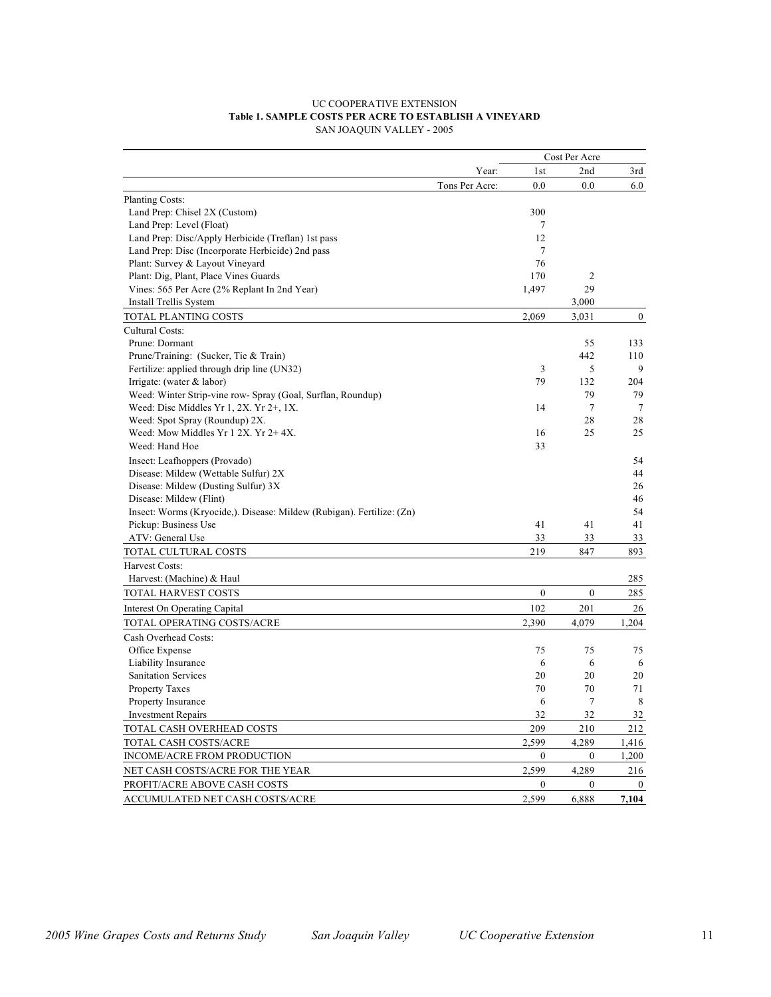#### UC COOPERATIVE EXTENSION **Table 1. SAMPLE COSTS PER ACRE TO ESTABLISH A VINEYARD** SAN JOAQUIN VALLEY - 2005

|                                                                       |                |              | Cost Per Acre  |                 |
|-----------------------------------------------------------------------|----------------|--------------|----------------|-----------------|
|                                                                       | Year:          | 1st          | 2nd            | 3rd             |
|                                                                       | Tons Per Acre: | 0.0          | 0.0            | 6.0             |
| Planting Costs:                                                       |                |              |                |                 |
| Land Prep: Chisel 2X (Custom)                                         |                | 300          |                |                 |
| Land Prep: Level (Float)                                              |                | 7            |                |                 |
| Land Prep: Disc/Apply Herbicide (Treflan) 1st pass                    |                | 12           |                |                 |
| Land Prep: Disc (Incorporate Herbicide) 2nd pass                      |                | 7            |                |                 |
| Plant: Survey & Layout Vineyard                                       |                | 76           |                |                 |
| Plant: Dig, Plant, Place Vines Guards                                 |                | 170          | $\overline{2}$ |                 |
| Vines: 565 Per Acre (2% Replant In 2nd Year)                          |                | 1,497        | 29             |                 |
| Install Trellis System                                                |                |              | 3,000          |                 |
| TOTAL PLANTING COSTS                                                  |                | 2,069        | 3,031          | $\mathbf{0}$    |
| Cultural Costs:                                                       |                |              |                |                 |
| Prune: Dormant                                                        |                |              | 55             | 133             |
| Prune/Training: (Sucker, Tie & Train)                                 |                |              | 442            | 110             |
| Fertilize: applied through drip line (UN32)                           |                | 3            | 5              | 9               |
| Irrigate: (water & labor)                                             |                | 79           | 132            | 204             |
| Weed: Winter Strip-vine row- Spray (Goal, Surflan, Roundup)           |                |              | 79             | 79              |
| Weed: Disc Middles $Yr 1$ , 2X. $Yr 2+$ , 1X.                         |                | 14           | 7              | $7\phantom{.0}$ |
| Weed: Spot Spray (Roundup) 2X.                                        |                |              | 28             | 28              |
| Weed: Mow Middles Yr 1 2X. Yr 2+4X.                                   |                | 16           | 25             | 25              |
| Weed: Hand Hoe                                                        |                | 33           |                |                 |
| Insect: Leafhoppers (Provado)                                         |                |              |                | 54              |
| Disease: Mildew (Wettable Sulfur) 2X                                  |                |              |                | 44              |
| Disease: Mildew (Dusting Sulfur) 3X                                   |                |              |                | 26              |
| Disease: Mildew (Flint)                                               |                |              |                | 46              |
| Insect: Worms (Kryocide,). Disease: Mildew (Rubigan). Fertilize: (Zn) |                |              |                | 54              |
| Pickup: Business Use                                                  |                | 41           | 41             | 41              |
| ATV: General Use                                                      |                | 33           | 33             | 33              |
| TOTAL CULTURAL COSTS                                                  |                | 219          | 847            | 893             |
| Harvest Costs:                                                        |                |              |                |                 |
| Harvest: (Machine) & Haul                                             |                |              |                | 285             |
| TOTAL HARVEST COSTS                                                   |                | $\mathbf{0}$ | $\mathbf{0}$   | 285             |
| Interest On Operating Capital                                         |                | 102          | 201            | 26              |
| TOTAL OPERATING COSTS/ACRE                                            |                | 2,390        | 4,079          | 1,204           |
| Cash Overhead Costs:                                                  |                |              |                |                 |
| Office Expense                                                        |                | 75           | 75             | 75              |
| Liability Insurance                                                   |                | 6            | 6              | 6               |
| Sanitation Services                                                   |                | 20           | 20             | 20              |
| Property Taxes                                                        |                | 70           | 70             | 71              |
| Property Insurance                                                    |                | 6            | $\overline{7}$ | 8               |
| <b>Investment Repairs</b>                                             |                | 32           | 32             | 32              |
| TOTAL CASH OVERHEAD COSTS                                             |                | 209          | 210            | 212             |
| TOTAL CASH COSTS/ACRE                                                 |                | 2,599        | 4,289          | 1,416           |
| INCOME/ACRE FROM PRODUCTION                                           |                | $\Omega$     | $\mathbf{0}$   | 1,200           |
| NET CASH COSTS/ACRE FOR THE YEAR                                      |                | 2,599        | 4,289          | 216             |
| PROFIT/ACRE ABOVE CASH COSTS                                          |                | $\theta$     | $\theta$       | $\overline{0}$  |
| ACCUMULATED NET CASH COSTS/ACRE                                       |                | 2,599        | 6,888          | 7,104           |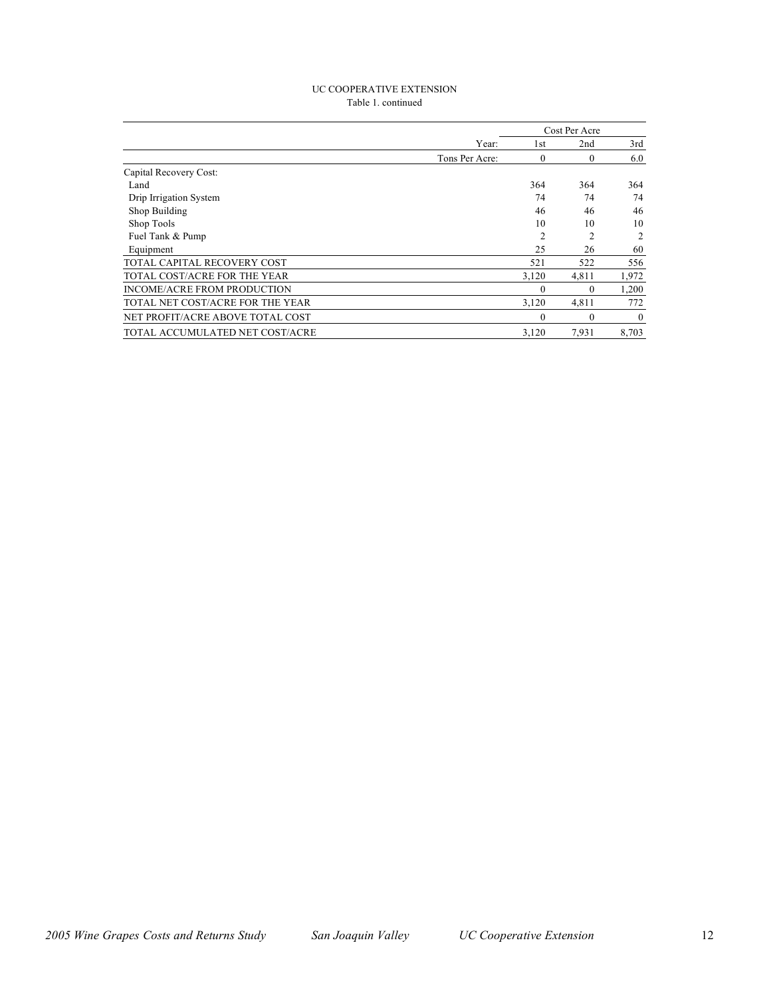#### UC COOPERATIVE EXTENSION Table 1. continued

|                                    |                |                | Cost Per Acre  |                |
|------------------------------------|----------------|----------------|----------------|----------------|
|                                    | Year:          | 1st            | 2nd            | 3rd            |
|                                    | Tons Per Acre: | $\Omega$       | $\theta$       | 6.0            |
| Capital Recovery Cost:             |                |                |                |                |
| Land                               |                | 364            | 364            | 364            |
| Drip Irrigation System             |                | 74             | 74             | 74             |
| Shop Building                      |                | 46             | 46             | 46             |
| Shop Tools                         |                | 10             | 10             | 10             |
| Fuel Tank & Pump                   |                | $\overline{c}$ | $\overline{c}$ | $\overline{2}$ |
| Equipment                          |                | 25             | 26             | 60             |
| TOTAL CAPITAL RECOVERY COST        |                | 521            | 522            | 556            |
| TOTAL COST/ACRE FOR THE YEAR       |                | 3,120          | 4,811          | 1,972          |
| <b>INCOME/ACRE FROM PRODUCTION</b> |                | $\theta$       | $\Omega$       | 1,200          |
| TOTAL NET COST/ACRE FOR THE YEAR   |                | 3,120          | 4,811          | 772            |
| NET PROFIT/ACRE ABOVE TOTAL COST   |                | $\Omega$       | $\theta$       | $\overline{0}$ |
| TOTAL ACCUMULATED NET COST/ACRE    |                | 3,120          | 7.931          | 8,703          |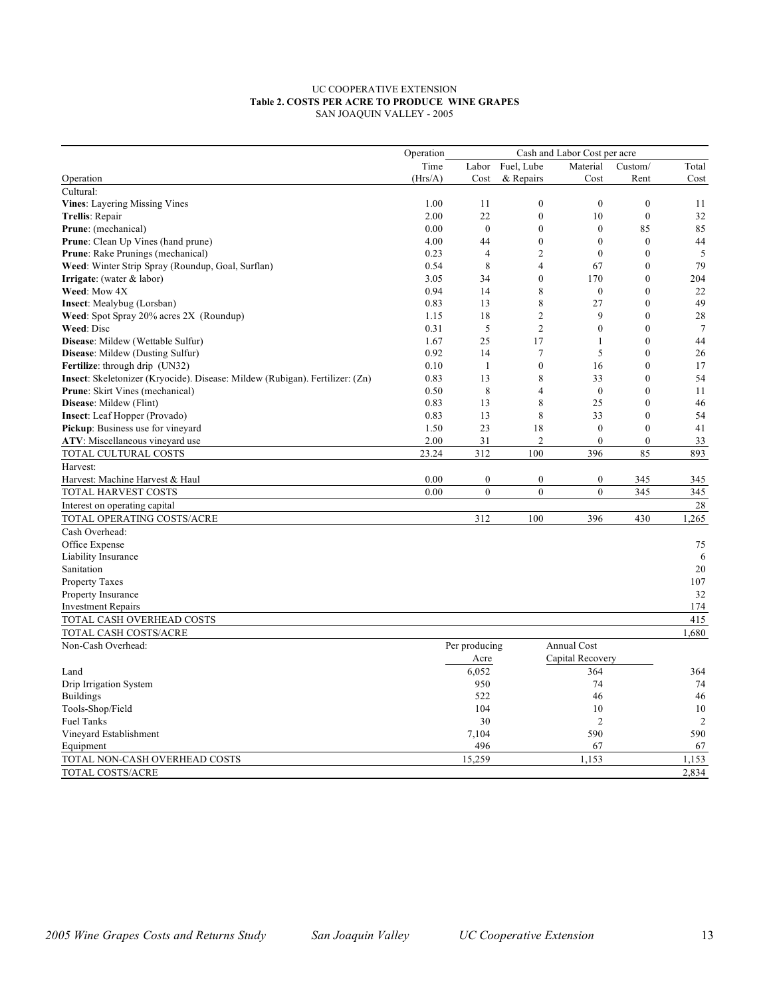#### UC COOPERATIVE EXTENSION **Table 2. COSTS PER ACRE TO PRODUCE WINE GRAPES** SAN JOAQUIN VALLEY - 2005

| Fuel, Lube<br>Time<br>Labor<br>Material<br>Custom/<br>Total<br>& Repairs<br>Operation<br>(Hrs/A)<br>Cost<br>Cost<br>Cost<br>Rent<br>Cultural:<br>1.00<br>$\boldsymbol{0}$<br>$\theta$<br>$\mathbf{0}$<br><b>Vines:</b> Layering Missing Vines<br>11<br>11<br>Trellis: Repair<br>2.00<br>22<br>$\mathbf{0}$<br>10<br>$\theta$<br>32<br>0.00<br>$\mathbf{0}$<br>$\mathbf{0}$<br>$\overline{0}$<br>85<br>85<br>Prune: (mechanical)<br>$\mathbf{0}$<br>$\overline{0}$<br>$\theta$<br><b>Prune:</b> Clean Up Vines (hand prune)<br>4.00<br>44<br>44<br>0.23<br>$\overline{c}$<br>$\overline{0}$<br>$\theta$<br>5<br><b>Prune:</b> Rake Prunings (mechanical)<br>$\overline{4}$<br>0.54<br>8<br>$\theta$<br>79<br>Weed: Winter Strip Spray (Roundup, Goal, Surflan)<br>$\overline{4}$<br>67<br>3.05<br>$\mathbf{0}$<br>170<br>$\mathbf{0}$<br>204<br>Irrigate: (water & labor)<br>34<br>0.94<br>Weed: Mow 4X<br>14<br>8<br>$\boldsymbol{0}$<br>$\mathbf{0}$<br>22<br>0.83<br>8<br>27<br>$\boldsymbol{0}$<br>49<br><b>Insect:</b> Mealybug (Lorsban)<br>13<br>Weed: Spot Spray 20% acres 2X (Roundup)<br>1.15<br>18<br>$\overline{c}$<br>9<br>$\boldsymbol{0}$<br>28<br>$\overline{2}$<br>0.31<br>5<br>$\theta$<br>$\theta$<br>7<br>Weed: Disc<br>1.67<br>25<br>17<br>$\mathbf{0}$<br>44<br>Disease: Mildew (Wettable Sulfur)<br>1<br>0.92<br>5<br>$\theta$<br>26<br><b>Disease:</b> Mildew (Dusting Sulfur)<br>14<br>7<br>$\mathbf{0}$<br>0.10<br>$\mathbf{1}$<br>16<br>$\mathbf{0}$<br>17<br>Fertilize: through drip (UN32)<br>0.83<br>13<br>8<br>33<br>$\mathbf{0}$<br>Insect: Skeletonizer (Kryocide). Disease: Mildew (Rubigan). Fertilizer: (Zn)<br>54<br>0.50<br>8<br>$\theta$<br><b>Prune:</b> Skirt Vines (mechanical)<br>$\overline{4}$<br>$\mathbf{0}$<br>11<br>Disease: Mildew (Flint)<br>0.83<br>13<br>8<br>25<br>$\mathbf{0}$<br>46<br><b>Insect:</b> Leaf Hopper (Provado)<br>0.83<br>13<br>8<br>33<br>$\mathbf{0}$<br>54<br>Pickup: Business use for vineyard<br>1.50<br>23<br>18<br>$\boldsymbol{0}$<br>$\mathbf{0}$<br>41<br>ATV: Miscellaneous vineyard use<br>2.00<br>31<br>$\overline{2}$<br>$\mathbf{0}$<br>$\Omega$<br>33<br>23.24<br>312<br>100<br>396<br>85<br>893<br>TOTAL CULTURAL COSTS<br>Harvest:<br>Harvest: Machine Harvest & Haul<br>0.00<br>$\boldsymbol{0}$<br>$\boldsymbol{0}$<br>$\boldsymbol{0}$<br>345<br>345<br>$\theta$<br>TOTAL HARVEST COSTS<br>$\theta$<br>$\theta$<br>345<br>0.00<br>345<br>Interest on operating capital<br>28<br>430<br>TOTAL OPERATING COSTS/ACRE<br>312<br>100<br>396<br>1,265<br>Cash Overhead:<br>75<br>Office Expense<br>Liability Insurance<br>6<br>20<br>Sanitation<br><b>Property Taxes</b><br>107<br>32<br>Property Insurance<br><b>Investment Repairs</b><br>174<br>415<br>TOTAL CASH OVERHEAD COSTS<br>1,680<br>TOTAL CASH COSTS/ACRE<br>Non-Cash Overhead:<br>Annual Cost<br>Per producing<br>Capital Recovery<br>Acre<br>6,052<br>364<br>Land<br>364<br>950<br>Drip Irrigation System<br>74<br>74<br><b>Buildings</b><br>522<br>46<br>46<br>Tools-Shop/Field<br>104<br>10<br>10<br>$\overline{2}$<br><b>Fuel Tanks</b><br>30<br>$\overline{2}$<br>Vineyard Establishment<br>7,104<br>590<br>590<br>496<br>67<br>67<br>Equipment<br>1,153<br>15,259<br>TOTAL NON-CASH OVERHEAD COSTS<br>1,153 |                  | Operation | Cash and Labor Cost per acre |  |       |
|-------------------------------------------------------------------------------------------------------------------------------------------------------------------------------------------------------------------------------------------------------------------------------------------------------------------------------------------------------------------------------------------------------------------------------------------------------------------------------------------------------------------------------------------------------------------------------------------------------------------------------------------------------------------------------------------------------------------------------------------------------------------------------------------------------------------------------------------------------------------------------------------------------------------------------------------------------------------------------------------------------------------------------------------------------------------------------------------------------------------------------------------------------------------------------------------------------------------------------------------------------------------------------------------------------------------------------------------------------------------------------------------------------------------------------------------------------------------------------------------------------------------------------------------------------------------------------------------------------------------------------------------------------------------------------------------------------------------------------------------------------------------------------------------------------------------------------------------------------------------------------------------------------------------------------------------------------------------------------------------------------------------------------------------------------------------------------------------------------------------------------------------------------------------------------------------------------------------------------------------------------------------------------------------------------------------------------------------------------------------------------------------------------------------------------------------------------------------------------------------------------------------------------------------------------------------------------------------------------------------------------------------------------------------------------------------------------------------------------------------------------------------------------------------------------------------------------------------------------------------------------------------------------------------------------------------------------------------------------------------------------------------------------------------------------------------------------------------------------------------------------------------------------------------------------------------------------------------------------------------------------------------|------------------|-----------|------------------------------|--|-------|
|                                                                                                                                                                                                                                                                                                                                                                                                                                                                                                                                                                                                                                                                                                                                                                                                                                                                                                                                                                                                                                                                                                                                                                                                                                                                                                                                                                                                                                                                                                                                                                                                                                                                                                                                                                                                                                                                                                                                                                                                                                                                                                                                                                                                                                                                                                                                                                                                                                                                                                                                                                                                                                                                                                                                                                                                                                                                                                                                                                                                                                                                                                                                                                                                                                                                   |                  |           |                              |  |       |
|                                                                                                                                                                                                                                                                                                                                                                                                                                                                                                                                                                                                                                                                                                                                                                                                                                                                                                                                                                                                                                                                                                                                                                                                                                                                                                                                                                                                                                                                                                                                                                                                                                                                                                                                                                                                                                                                                                                                                                                                                                                                                                                                                                                                                                                                                                                                                                                                                                                                                                                                                                                                                                                                                                                                                                                                                                                                                                                                                                                                                                                                                                                                                                                                                                                                   |                  |           |                              |  |       |
|                                                                                                                                                                                                                                                                                                                                                                                                                                                                                                                                                                                                                                                                                                                                                                                                                                                                                                                                                                                                                                                                                                                                                                                                                                                                                                                                                                                                                                                                                                                                                                                                                                                                                                                                                                                                                                                                                                                                                                                                                                                                                                                                                                                                                                                                                                                                                                                                                                                                                                                                                                                                                                                                                                                                                                                                                                                                                                                                                                                                                                                                                                                                                                                                                                                                   |                  |           |                              |  |       |
|                                                                                                                                                                                                                                                                                                                                                                                                                                                                                                                                                                                                                                                                                                                                                                                                                                                                                                                                                                                                                                                                                                                                                                                                                                                                                                                                                                                                                                                                                                                                                                                                                                                                                                                                                                                                                                                                                                                                                                                                                                                                                                                                                                                                                                                                                                                                                                                                                                                                                                                                                                                                                                                                                                                                                                                                                                                                                                                                                                                                                                                                                                                                                                                                                                                                   |                  |           |                              |  |       |
|                                                                                                                                                                                                                                                                                                                                                                                                                                                                                                                                                                                                                                                                                                                                                                                                                                                                                                                                                                                                                                                                                                                                                                                                                                                                                                                                                                                                                                                                                                                                                                                                                                                                                                                                                                                                                                                                                                                                                                                                                                                                                                                                                                                                                                                                                                                                                                                                                                                                                                                                                                                                                                                                                                                                                                                                                                                                                                                                                                                                                                                                                                                                                                                                                                                                   |                  |           |                              |  |       |
|                                                                                                                                                                                                                                                                                                                                                                                                                                                                                                                                                                                                                                                                                                                                                                                                                                                                                                                                                                                                                                                                                                                                                                                                                                                                                                                                                                                                                                                                                                                                                                                                                                                                                                                                                                                                                                                                                                                                                                                                                                                                                                                                                                                                                                                                                                                                                                                                                                                                                                                                                                                                                                                                                                                                                                                                                                                                                                                                                                                                                                                                                                                                                                                                                                                                   |                  |           |                              |  |       |
|                                                                                                                                                                                                                                                                                                                                                                                                                                                                                                                                                                                                                                                                                                                                                                                                                                                                                                                                                                                                                                                                                                                                                                                                                                                                                                                                                                                                                                                                                                                                                                                                                                                                                                                                                                                                                                                                                                                                                                                                                                                                                                                                                                                                                                                                                                                                                                                                                                                                                                                                                                                                                                                                                                                                                                                                                                                                                                                                                                                                                                                                                                                                                                                                                                                                   |                  |           |                              |  |       |
|                                                                                                                                                                                                                                                                                                                                                                                                                                                                                                                                                                                                                                                                                                                                                                                                                                                                                                                                                                                                                                                                                                                                                                                                                                                                                                                                                                                                                                                                                                                                                                                                                                                                                                                                                                                                                                                                                                                                                                                                                                                                                                                                                                                                                                                                                                                                                                                                                                                                                                                                                                                                                                                                                                                                                                                                                                                                                                                                                                                                                                                                                                                                                                                                                                                                   |                  |           |                              |  |       |
|                                                                                                                                                                                                                                                                                                                                                                                                                                                                                                                                                                                                                                                                                                                                                                                                                                                                                                                                                                                                                                                                                                                                                                                                                                                                                                                                                                                                                                                                                                                                                                                                                                                                                                                                                                                                                                                                                                                                                                                                                                                                                                                                                                                                                                                                                                                                                                                                                                                                                                                                                                                                                                                                                                                                                                                                                                                                                                                                                                                                                                                                                                                                                                                                                                                                   |                  |           |                              |  |       |
|                                                                                                                                                                                                                                                                                                                                                                                                                                                                                                                                                                                                                                                                                                                                                                                                                                                                                                                                                                                                                                                                                                                                                                                                                                                                                                                                                                                                                                                                                                                                                                                                                                                                                                                                                                                                                                                                                                                                                                                                                                                                                                                                                                                                                                                                                                                                                                                                                                                                                                                                                                                                                                                                                                                                                                                                                                                                                                                                                                                                                                                                                                                                                                                                                                                                   |                  |           |                              |  |       |
|                                                                                                                                                                                                                                                                                                                                                                                                                                                                                                                                                                                                                                                                                                                                                                                                                                                                                                                                                                                                                                                                                                                                                                                                                                                                                                                                                                                                                                                                                                                                                                                                                                                                                                                                                                                                                                                                                                                                                                                                                                                                                                                                                                                                                                                                                                                                                                                                                                                                                                                                                                                                                                                                                                                                                                                                                                                                                                                                                                                                                                                                                                                                                                                                                                                                   |                  |           |                              |  |       |
|                                                                                                                                                                                                                                                                                                                                                                                                                                                                                                                                                                                                                                                                                                                                                                                                                                                                                                                                                                                                                                                                                                                                                                                                                                                                                                                                                                                                                                                                                                                                                                                                                                                                                                                                                                                                                                                                                                                                                                                                                                                                                                                                                                                                                                                                                                                                                                                                                                                                                                                                                                                                                                                                                                                                                                                                                                                                                                                                                                                                                                                                                                                                                                                                                                                                   |                  |           |                              |  |       |
|                                                                                                                                                                                                                                                                                                                                                                                                                                                                                                                                                                                                                                                                                                                                                                                                                                                                                                                                                                                                                                                                                                                                                                                                                                                                                                                                                                                                                                                                                                                                                                                                                                                                                                                                                                                                                                                                                                                                                                                                                                                                                                                                                                                                                                                                                                                                                                                                                                                                                                                                                                                                                                                                                                                                                                                                                                                                                                                                                                                                                                                                                                                                                                                                                                                                   |                  |           |                              |  |       |
|                                                                                                                                                                                                                                                                                                                                                                                                                                                                                                                                                                                                                                                                                                                                                                                                                                                                                                                                                                                                                                                                                                                                                                                                                                                                                                                                                                                                                                                                                                                                                                                                                                                                                                                                                                                                                                                                                                                                                                                                                                                                                                                                                                                                                                                                                                                                                                                                                                                                                                                                                                                                                                                                                                                                                                                                                                                                                                                                                                                                                                                                                                                                                                                                                                                                   |                  |           |                              |  |       |
|                                                                                                                                                                                                                                                                                                                                                                                                                                                                                                                                                                                                                                                                                                                                                                                                                                                                                                                                                                                                                                                                                                                                                                                                                                                                                                                                                                                                                                                                                                                                                                                                                                                                                                                                                                                                                                                                                                                                                                                                                                                                                                                                                                                                                                                                                                                                                                                                                                                                                                                                                                                                                                                                                                                                                                                                                                                                                                                                                                                                                                                                                                                                                                                                                                                                   |                  |           |                              |  |       |
|                                                                                                                                                                                                                                                                                                                                                                                                                                                                                                                                                                                                                                                                                                                                                                                                                                                                                                                                                                                                                                                                                                                                                                                                                                                                                                                                                                                                                                                                                                                                                                                                                                                                                                                                                                                                                                                                                                                                                                                                                                                                                                                                                                                                                                                                                                                                                                                                                                                                                                                                                                                                                                                                                                                                                                                                                                                                                                                                                                                                                                                                                                                                                                                                                                                                   |                  |           |                              |  |       |
|                                                                                                                                                                                                                                                                                                                                                                                                                                                                                                                                                                                                                                                                                                                                                                                                                                                                                                                                                                                                                                                                                                                                                                                                                                                                                                                                                                                                                                                                                                                                                                                                                                                                                                                                                                                                                                                                                                                                                                                                                                                                                                                                                                                                                                                                                                                                                                                                                                                                                                                                                                                                                                                                                                                                                                                                                                                                                                                                                                                                                                                                                                                                                                                                                                                                   |                  |           |                              |  |       |
|                                                                                                                                                                                                                                                                                                                                                                                                                                                                                                                                                                                                                                                                                                                                                                                                                                                                                                                                                                                                                                                                                                                                                                                                                                                                                                                                                                                                                                                                                                                                                                                                                                                                                                                                                                                                                                                                                                                                                                                                                                                                                                                                                                                                                                                                                                                                                                                                                                                                                                                                                                                                                                                                                                                                                                                                                                                                                                                                                                                                                                                                                                                                                                                                                                                                   |                  |           |                              |  |       |
|                                                                                                                                                                                                                                                                                                                                                                                                                                                                                                                                                                                                                                                                                                                                                                                                                                                                                                                                                                                                                                                                                                                                                                                                                                                                                                                                                                                                                                                                                                                                                                                                                                                                                                                                                                                                                                                                                                                                                                                                                                                                                                                                                                                                                                                                                                                                                                                                                                                                                                                                                                                                                                                                                                                                                                                                                                                                                                                                                                                                                                                                                                                                                                                                                                                                   |                  |           |                              |  |       |
|                                                                                                                                                                                                                                                                                                                                                                                                                                                                                                                                                                                                                                                                                                                                                                                                                                                                                                                                                                                                                                                                                                                                                                                                                                                                                                                                                                                                                                                                                                                                                                                                                                                                                                                                                                                                                                                                                                                                                                                                                                                                                                                                                                                                                                                                                                                                                                                                                                                                                                                                                                                                                                                                                                                                                                                                                                                                                                                                                                                                                                                                                                                                                                                                                                                                   |                  |           |                              |  |       |
|                                                                                                                                                                                                                                                                                                                                                                                                                                                                                                                                                                                                                                                                                                                                                                                                                                                                                                                                                                                                                                                                                                                                                                                                                                                                                                                                                                                                                                                                                                                                                                                                                                                                                                                                                                                                                                                                                                                                                                                                                                                                                                                                                                                                                                                                                                                                                                                                                                                                                                                                                                                                                                                                                                                                                                                                                                                                                                                                                                                                                                                                                                                                                                                                                                                                   |                  |           |                              |  |       |
|                                                                                                                                                                                                                                                                                                                                                                                                                                                                                                                                                                                                                                                                                                                                                                                                                                                                                                                                                                                                                                                                                                                                                                                                                                                                                                                                                                                                                                                                                                                                                                                                                                                                                                                                                                                                                                                                                                                                                                                                                                                                                                                                                                                                                                                                                                                                                                                                                                                                                                                                                                                                                                                                                                                                                                                                                                                                                                                                                                                                                                                                                                                                                                                                                                                                   |                  |           |                              |  |       |
|                                                                                                                                                                                                                                                                                                                                                                                                                                                                                                                                                                                                                                                                                                                                                                                                                                                                                                                                                                                                                                                                                                                                                                                                                                                                                                                                                                                                                                                                                                                                                                                                                                                                                                                                                                                                                                                                                                                                                                                                                                                                                                                                                                                                                                                                                                                                                                                                                                                                                                                                                                                                                                                                                                                                                                                                                                                                                                                                                                                                                                                                                                                                                                                                                                                                   |                  |           |                              |  |       |
|                                                                                                                                                                                                                                                                                                                                                                                                                                                                                                                                                                                                                                                                                                                                                                                                                                                                                                                                                                                                                                                                                                                                                                                                                                                                                                                                                                                                                                                                                                                                                                                                                                                                                                                                                                                                                                                                                                                                                                                                                                                                                                                                                                                                                                                                                                                                                                                                                                                                                                                                                                                                                                                                                                                                                                                                                                                                                                                                                                                                                                                                                                                                                                                                                                                                   |                  |           |                              |  |       |
|                                                                                                                                                                                                                                                                                                                                                                                                                                                                                                                                                                                                                                                                                                                                                                                                                                                                                                                                                                                                                                                                                                                                                                                                                                                                                                                                                                                                                                                                                                                                                                                                                                                                                                                                                                                                                                                                                                                                                                                                                                                                                                                                                                                                                                                                                                                                                                                                                                                                                                                                                                                                                                                                                                                                                                                                                                                                                                                                                                                                                                                                                                                                                                                                                                                                   |                  |           |                              |  |       |
|                                                                                                                                                                                                                                                                                                                                                                                                                                                                                                                                                                                                                                                                                                                                                                                                                                                                                                                                                                                                                                                                                                                                                                                                                                                                                                                                                                                                                                                                                                                                                                                                                                                                                                                                                                                                                                                                                                                                                                                                                                                                                                                                                                                                                                                                                                                                                                                                                                                                                                                                                                                                                                                                                                                                                                                                                                                                                                                                                                                                                                                                                                                                                                                                                                                                   |                  |           |                              |  |       |
|                                                                                                                                                                                                                                                                                                                                                                                                                                                                                                                                                                                                                                                                                                                                                                                                                                                                                                                                                                                                                                                                                                                                                                                                                                                                                                                                                                                                                                                                                                                                                                                                                                                                                                                                                                                                                                                                                                                                                                                                                                                                                                                                                                                                                                                                                                                                                                                                                                                                                                                                                                                                                                                                                                                                                                                                                                                                                                                                                                                                                                                                                                                                                                                                                                                                   |                  |           |                              |  |       |
|                                                                                                                                                                                                                                                                                                                                                                                                                                                                                                                                                                                                                                                                                                                                                                                                                                                                                                                                                                                                                                                                                                                                                                                                                                                                                                                                                                                                                                                                                                                                                                                                                                                                                                                                                                                                                                                                                                                                                                                                                                                                                                                                                                                                                                                                                                                                                                                                                                                                                                                                                                                                                                                                                                                                                                                                                                                                                                                                                                                                                                                                                                                                                                                                                                                                   |                  |           |                              |  |       |
|                                                                                                                                                                                                                                                                                                                                                                                                                                                                                                                                                                                                                                                                                                                                                                                                                                                                                                                                                                                                                                                                                                                                                                                                                                                                                                                                                                                                                                                                                                                                                                                                                                                                                                                                                                                                                                                                                                                                                                                                                                                                                                                                                                                                                                                                                                                                                                                                                                                                                                                                                                                                                                                                                                                                                                                                                                                                                                                                                                                                                                                                                                                                                                                                                                                                   |                  |           |                              |  |       |
|                                                                                                                                                                                                                                                                                                                                                                                                                                                                                                                                                                                                                                                                                                                                                                                                                                                                                                                                                                                                                                                                                                                                                                                                                                                                                                                                                                                                                                                                                                                                                                                                                                                                                                                                                                                                                                                                                                                                                                                                                                                                                                                                                                                                                                                                                                                                                                                                                                                                                                                                                                                                                                                                                                                                                                                                                                                                                                                                                                                                                                                                                                                                                                                                                                                                   |                  |           |                              |  |       |
|                                                                                                                                                                                                                                                                                                                                                                                                                                                                                                                                                                                                                                                                                                                                                                                                                                                                                                                                                                                                                                                                                                                                                                                                                                                                                                                                                                                                                                                                                                                                                                                                                                                                                                                                                                                                                                                                                                                                                                                                                                                                                                                                                                                                                                                                                                                                                                                                                                                                                                                                                                                                                                                                                                                                                                                                                                                                                                                                                                                                                                                                                                                                                                                                                                                                   |                  |           |                              |  |       |
|                                                                                                                                                                                                                                                                                                                                                                                                                                                                                                                                                                                                                                                                                                                                                                                                                                                                                                                                                                                                                                                                                                                                                                                                                                                                                                                                                                                                                                                                                                                                                                                                                                                                                                                                                                                                                                                                                                                                                                                                                                                                                                                                                                                                                                                                                                                                                                                                                                                                                                                                                                                                                                                                                                                                                                                                                                                                                                                                                                                                                                                                                                                                                                                                                                                                   |                  |           |                              |  |       |
|                                                                                                                                                                                                                                                                                                                                                                                                                                                                                                                                                                                                                                                                                                                                                                                                                                                                                                                                                                                                                                                                                                                                                                                                                                                                                                                                                                                                                                                                                                                                                                                                                                                                                                                                                                                                                                                                                                                                                                                                                                                                                                                                                                                                                                                                                                                                                                                                                                                                                                                                                                                                                                                                                                                                                                                                                                                                                                                                                                                                                                                                                                                                                                                                                                                                   |                  |           |                              |  |       |
|                                                                                                                                                                                                                                                                                                                                                                                                                                                                                                                                                                                                                                                                                                                                                                                                                                                                                                                                                                                                                                                                                                                                                                                                                                                                                                                                                                                                                                                                                                                                                                                                                                                                                                                                                                                                                                                                                                                                                                                                                                                                                                                                                                                                                                                                                                                                                                                                                                                                                                                                                                                                                                                                                                                                                                                                                                                                                                                                                                                                                                                                                                                                                                                                                                                                   |                  |           |                              |  |       |
|                                                                                                                                                                                                                                                                                                                                                                                                                                                                                                                                                                                                                                                                                                                                                                                                                                                                                                                                                                                                                                                                                                                                                                                                                                                                                                                                                                                                                                                                                                                                                                                                                                                                                                                                                                                                                                                                                                                                                                                                                                                                                                                                                                                                                                                                                                                                                                                                                                                                                                                                                                                                                                                                                                                                                                                                                                                                                                                                                                                                                                                                                                                                                                                                                                                                   |                  |           |                              |  |       |
|                                                                                                                                                                                                                                                                                                                                                                                                                                                                                                                                                                                                                                                                                                                                                                                                                                                                                                                                                                                                                                                                                                                                                                                                                                                                                                                                                                                                                                                                                                                                                                                                                                                                                                                                                                                                                                                                                                                                                                                                                                                                                                                                                                                                                                                                                                                                                                                                                                                                                                                                                                                                                                                                                                                                                                                                                                                                                                                                                                                                                                                                                                                                                                                                                                                                   |                  |           |                              |  |       |
|                                                                                                                                                                                                                                                                                                                                                                                                                                                                                                                                                                                                                                                                                                                                                                                                                                                                                                                                                                                                                                                                                                                                                                                                                                                                                                                                                                                                                                                                                                                                                                                                                                                                                                                                                                                                                                                                                                                                                                                                                                                                                                                                                                                                                                                                                                                                                                                                                                                                                                                                                                                                                                                                                                                                                                                                                                                                                                                                                                                                                                                                                                                                                                                                                                                                   |                  |           |                              |  |       |
|                                                                                                                                                                                                                                                                                                                                                                                                                                                                                                                                                                                                                                                                                                                                                                                                                                                                                                                                                                                                                                                                                                                                                                                                                                                                                                                                                                                                                                                                                                                                                                                                                                                                                                                                                                                                                                                                                                                                                                                                                                                                                                                                                                                                                                                                                                                                                                                                                                                                                                                                                                                                                                                                                                                                                                                                                                                                                                                                                                                                                                                                                                                                                                                                                                                                   |                  |           |                              |  |       |
|                                                                                                                                                                                                                                                                                                                                                                                                                                                                                                                                                                                                                                                                                                                                                                                                                                                                                                                                                                                                                                                                                                                                                                                                                                                                                                                                                                                                                                                                                                                                                                                                                                                                                                                                                                                                                                                                                                                                                                                                                                                                                                                                                                                                                                                                                                                                                                                                                                                                                                                                                                                                                                                                                                                                                                                                                                                                                                                                                                                                                                                                                                                                                                                                                                                                   |                  |           |                              |  |       |
|                                                                                                                                                                                                                                                                                                                                                                                                                                                                                                                                                                                                                                                                                                                                                                                                                                                                                                                                                                                                                                                                                                                                                                                                                                                                                                                                                                                                                                                                                                                                                                                                                                                                                                                                                                                                                                                                                                                                                                                                                                                                                                                                                                                                                                                                                                                                                                                                                                                                                                                                                                                                                                                                                                                                                                                                                                                                                                                                                                                                                                                                                                                                                                                                                                                                   |                  |           |                              |  |       |
|                                                                                                                                                                                                                                                                                                                                                                                                                                                                                                                                                                                                                                                                                                                                                                                                                                                                                                                                                                                                                                                                                                                                                                                                                                                                                                                                                                                                                                                                                                                                                                                                                                                                                                                                                                                                                                                                                                                                                                                                                                                                                                                                                                                                                                                                                                                                                                                                                                                                                                                                                                                                                                                                                                                                                                                                                                                                                                                                                                                                                                                                                                                                                                                                                                                                   |                  |           |                              |  |       |
|                                                                                                                                                                                                                                                                                                                                                                                                                                                                                                                                                                                                                                                                                                                                                                                                                                                                                                                                                                                                                                                                                                                                                                                                                                                                                                                                                                                                                                                                                                                                                                                                                                                                                                                                                                                                                                                                                                                                                                                                                                                                                                                                                                                                                                                                                                                                                                                                                                                                                                                                                                                                                                                                                                                                                                                                                                                                                                                                                                                                                                                                                                                                                                                                                                                                   |                  |           |                              |  |       |
|                                                                                                                                                                                                                                                                                                                                                                                                                                                                                                                                                                                                                                                                                                                                                                                                                                                                                                                                                                                                                                                                                                                                                                                                                                                                                                                                                                                                                                                                                                                                                                                                                                                                                                                                                                                                                                                                                                                                                                                                                                                                                                                                                                                                                                                                                                                                                                                                                                                                                                                                                                                                                                                                                                                                                                                                                                                                                                                                                                                                                                                                                                                                                                                                                                                                   |                  |           |                              |  |       |
|                                                                                                                                                                                                                                                                                                                                                                                                                                                                                                                                                                                                                                                                                                                                                                                                                                                                                                                                                                                                                                                                                                                                                                                                                                                                                                                                                                                                                                                                                                                                                                                                                                                                                                                                                                                                                                                                                                                                                                                                                                                                                                                                                                                                                                                                                                                                                                                                                                                                                                                                                                                                                                                                                                                                                                                                                                                                                                                                                                                                                                                                                                                                                                                                                                                                   |                  |           |                              |  |       |
|                                                                                                                                                                                                                                                                                                                                                                                                                                                                                                                                                                                                                                                                                                                                                                                                                                                                                                                                                                                                                                                                                                                                                                                                                                                                                                                                                                                                                                                                                                                                                                                                                                                                                                                                                                                                                                                                                                                                                                                                                                                                                                                                                                                                                                                                                                                                                                                                                                                                                                                                                                                                                                                                                                                                                                                                                                                                                                                                                                                                                                                                                                                                                                                                                                                                   |                  |           |                              |  |       |
|                                                                                                                                                                                                                                                                                                                                                                                                                                                                                                                                                                                                                                                                                                                                                                                                                                                                                                                                                                                                                                                                                                                                                                                                                                                                                                                                                                                                                                                                                                                                                                                                                                                                                                                                                                                                                                                                                                                                                                                                                                                                                                                                                                                                                                                                                                                                                                                                                                                                                                                                                                                                                                                                                                                                                                                                                                                                                                                                                                                                                                                                                                                                                                                                                                                                   |                  |           |                              |  |       |
|                                                                                                                                                                                                                                                                                                                                                                                                                                                                                                                                                                                                                                                                                                                                                                                                                                                                                                                                                                                                                                                                                                                                                                                                                                                                                                                                                                                                                                                                                                                                                                                                                                                                                                                                                                                                                                                                                                                                                                                                                                                                                                                                                                                                                                                                                                                                                                                                                                                                                                                                                                                                                                                                                                                                                                                                                                                                                                                                                                                                                                                                                                                                                                                                                                                                   |                  |           |                              |  |       |
|                                                                                                                                                                                                                                                                                                                                                                                                                                                                                                                                                                                                                                                                                                                                                                                                                                                                                                                                                                                                                                                                                                                                                                                                                                                                                                                                                                                                                                                                                                                                                                                                                                                                                                                                                                                                                                                                                                                                                                                                                                                                                                                                                                                                                                                                                                                                                                                                                                                                                                                                                                                                                                                                                                                                                                                                                                                                                                                                                                                                                                                                                                                                                                                                                                                                   |                  |           |                              |  |       |
|                                                                                                                                                                                                                                                                                                                                                                                                                                                                                                                                                                                                                                                                                                                                                                                                                                                                                                                                                                                                                                                                                                                                                                                                                                                                                                                                                                                                                                                                                                                                                                                                                                                                                                                                                                                                                                                                                                                                                                                                                                                                                                                                                                                                                                                                                                                                                                                                                                                                                                                                                                                                                                                                                                                                                                                                                                                                                                                                                                                                                                                                                                                                                                                                                                                                   | TOTAL COSTS/ACRE |           |                              |  | 2,834 |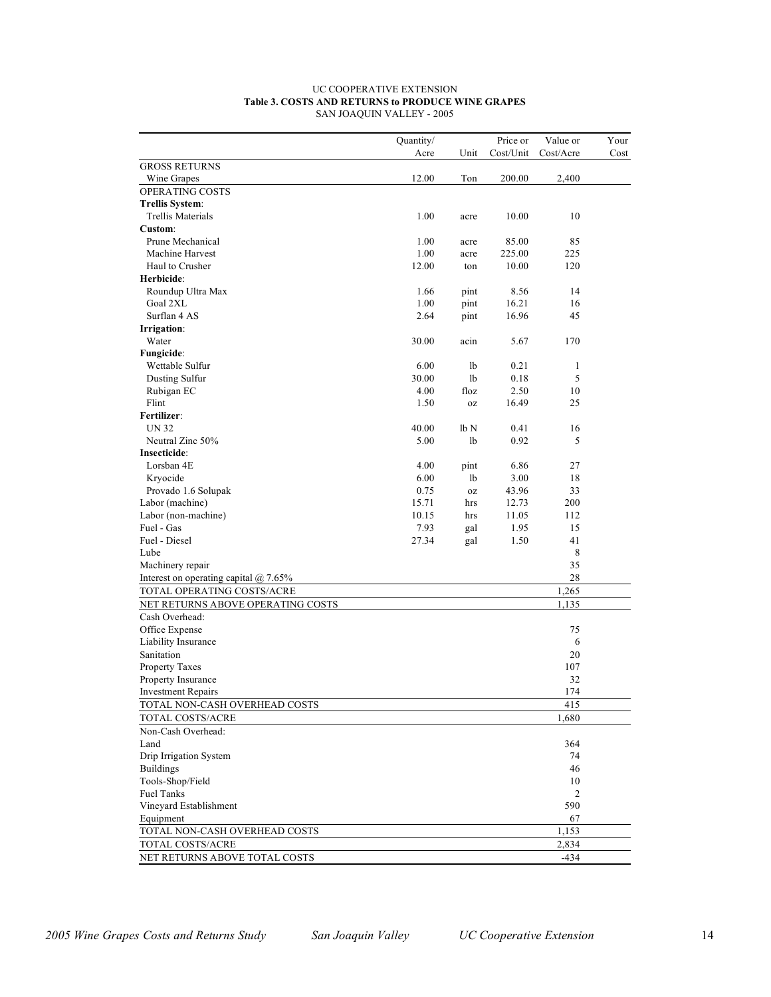#### UC COOPERATIVE EXTENSION **Table 3. COSTS AND RETURNS to PRODUCE WINE GRAPES** SAN JOAQUIN VALLEY - 2005

|                                         | Quantity/ |      | Price or  | Value or       | Your |
|-----------------------------------------|-----------|------|-----------|----------------|------|
|                                         | Acre      | Unit | Cost/Unit | Cost/Acre      | Cost |
| <b>GROSS RETURNS</b>                    |           |      |           |                |      |
| Wine Grapes                             | 12.00     | Ton  | 200.00    | 2,400          |      |
| OPERATING COSTS                         |           |      |           |                |      |
| Trellis System:                         |           |      |           |                |      |
| <b>Trellis Materials</b>                | 1.00      | acre | 10.00     | 10             |      |
| Custom:                                 |           |      |           |                |      |
| Prune Mechanical                        | 1.00      | acre | 85.00     | 85             |      |
| Machine Harvest                         | 1.00      | acre | 225.00    | 225            |      |
| Haul to Crusher                         | 12.00     | ton  | 10.00     | 120            |      |
| Herbicide:                              |           |      |           |                |      |
| Roundup Ultra Max                       | 1.66      | pint | 8.56      | 14             |      |
| Goal 2XL                                | 1.00      | pint | 16.21     | 16             |      |
| Surflan 4 AS                            | 2.64      | pint | 16.96     | 45             |      |
| Irrigation:                             |           |      |           |                |      |
| Water                                   | 30.00     | acin | 5.67      | 170            |      |
| Fungicide:                              |           |      |           |                |      |
| Wettable Sulfur                         | 6.00      | 1b   | 0.21      | 1              |      |
| Dusting Sulfur                          | 30.00     | 1b   | 0.18      | 5              |      |
| Rubigan EC                              | 4.00      | floz | 2.50      | 10             |      |
| Flint                                   | 1.50      | 0Z   | 16.49     | 25             |      |
| Fertilizer:                             |           |      |           |                |      |
| <b>UN32</b>                             | 40.00     | lb N | 0.41      | 16             |      |
| Neutral Zinc 50%                        | 5.00      | 1b   | 0.92      | 5              |      |
| Insecticide:                            |           |      |           |                |      |
| Lorsban 4E                              | 4.00      | pint | 6.86      | 27             |      |
| Kryocide                                | 6.00      | 1b   | 3.00      | 18             |      |
| Provado 1.6 Solupak                     | 0.75      | 0Z   | 43.96     | 33             |      |
| Labor (machine)                         | 15.71     | hrs  | 12.73     | 200            |      |
| Labor (non-machine)                     | 10.15     | hrs  | 11.05     | 112            |      |
| Fuel - Gas                              | 7.93      | gal  | 1.95      | 15             |      |
| Fuel - Diesel                           | 27.34     | gal  | 1.50      | 41             |      |
| Lube                                    |           |      |           | $\,$ 8 $\,$    |      |
| Machinery repair                        |           |      |           | 35             |      |
| Interest on operating capital $@$ 7.65% |           |      |           | 28             |      |
| TOTAL OPERATING COSTS/ACRE              |           |      |           | 1,265          |      |
| NET RETURNS ABOVE OPERATING COSTS       |           |      |           | 1,135          |      |
| Cash Overhead:                          |           |      |           |                |      |
| Office Expense                          |           |      |           | 75             |      |
| Liability Insurance                     |           |      |           | 6              |      |
| Sanitation                              |           |      |           | 20             |      |
| Property Taxes                          |           |      |           | 107            |      |
| Property Insurance                      |           |      |           | 32             |      |
| <b>Investment Repairs</b>               |           |      |           | 174            |      |
| TOTAL NON-CASH OVERHEAD COSTS           |           |      |           | 415            |      |
| TOTAL COSTS/ACRE                        |           |      |           | 1,680          |      |
| Non-Cash Overhead:                      |           |      |           |                |      |
| Land                                    |           |      |           | 364            |      |
| Drip Irrigation System                  |           |      |           | 74             |      |
| <b>Buildings</b>                        |           |      |           | 46             |      |
| Tools-Shop/Field                        |           |      |           | 10             |      |
| <b>Fuel Tanks</b>                       |           |      |           | $\overline{c}$ |      |
| Vineyard Establishment                  |           |      |           | 590            |      |
| Equipment                               |           |      |           | 67             |      |
| TOTAL NON-CASH OVERHEAD COSTS           |           |      |           | 1,153          |      |
| TOTAL COSTS/ACRE                        |           |      |           | 2,834          |      |
| NET RETURNS ABOVE TOTAL COSTS           |           |      |           | $-434$         |      |
|                                         |           |      |           |                |      |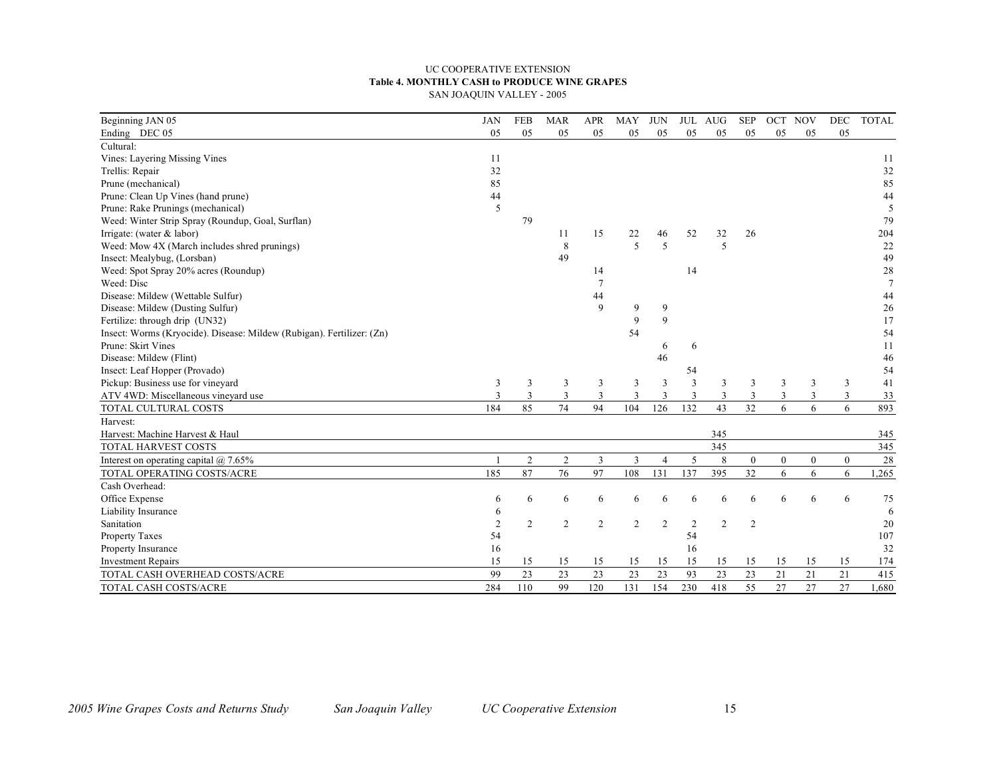#### UC COOPERATIVE EXTENSION **Table 4. MONTHLY CASH to PRODUCE WINE GRAPES** SAN JOAQUIN VALLEY - 2005

| Beginning JAN 05                                                      | <b>JAN</b>     | <b>FEB</b>     | <b>MAR</b>     | <b>APR</b>   | <b>MAY</b>     | <b>JUN</b>     | <b>JUL</b>     | AUG            | <b>SEP</b>     | OCT          | <b>NOV</b>     | <b>DEC</b>     | <b>TOTAL</b>   |
|-----------------------------------------------------------------------|----------------|----------------|----------------|--------------|----------------|----------------|----------------|----------------|----------------|--------------|----------------|----------------|----------------|
| Ending DEC 05                                                         | 05             | 05             | 05             | 05           | 05             | 05             | 05             | 05             | 05             | 05           | 05             | 05             |                |
| Cultural:                                                             |                |                |                |              |                |                |                |                |                |              |                |                |                |
| Vines: Layering Missing Vines                                         | 11             |                |                |              |                |                |                |                |                |              |                |                | 11             |
| Trellis: Repair                                                       | 32             |                |                |              |                |                |                |                |                |              |                |                | 32             |
| Prune (mechanical)                                                    | 85             |                |                |              |                |                |                |                |                |              |                |                | 85             |
| Prune: Clean Up Vines (hand prune)                                    | 44             |                |                |              |                |                |                |                |                |              |                |                | 44             |
| Prune: Rake Prunings (mechanical)                                     | 5              |                |                |              |                |                |                |                |                |              |                |                | 5              |
| Weed: Winter Strip Spray (Roundup, Goal, Surflan)                     |                | 79             |                |              |                |                |                |                |                |              |                |                | 79             |
| Irrigate: (water $&$ labor)                                           |                |                | 11             | 15           | 22             | 46             | 52             | 32             | 26             |              |                |                | 204            |
| Weed: Mow 4X (March includes shred prunings)                          |                |                | 8              |              | 5              | 5              |                | 5              |                |              |                |                | 22             |
| Insect: Mealybug, (Lorsban)                                           |                |                | 49             |              |                |                |                |                |                |              |                |                | 49             |
| Weed: Spot Spray 20% acres (Roundup)                                  |                |                |                | 14           |                |                | 14             |                |                |              |                |                | 28             |
| Weed: Disc                                                            |                |                |                |              |                |                |                |                |                |              |                |                | $\overline{7}$ |
| Disease: Mildew (Wettable Sulfur)                                     |                |                |                | 44           |                |                |                |                |                |              |                |                | 44             |
| Disease: Mildew (Dusting Sulfur)                                      |                |                |                | $\mathbf{Q}$ | 9              | 9              |                |                |                |              |                |                | 26             |
| Fertilize: through drip (UN32)                                        |                |                |                |              | 9              | 9              |                |                |                |              |                |                | 17             |
| Insect: Worms (Kryocide). Disease: Mildew (Rubigan). Fertilizer: (Zn) |                |                |                |              | 54             |                |                |                |                |              |                |                | 54             |
| Prune: Skirt Vines                                                    |                |                |                |              |                | 6              | 6              |                |                |              |                |                | 11             |
| Disease: Mildew (Flint)                                               |                |                |                |              |                | 46             |                |                |                |              |                |                | 46             |
| Insect: Leaf Hopper (Provado)                                         |                |                |                |              |                |                | 54             |                |                |              |                |                | 54             |
| Pickup: Business use for vineyard                                     | 3              | 3              | 3              | 3            | 3              | 3              | 3              | 3              | 3              | 3            | $\overline{3}$ | 3              | 41             |
| ATV 4WD: Miscellaneous vineyard use                                   |                | 3              | $\mathbf{3}$   | $\mathbf{3}$ | 3              | $\mathbf{3}$   | 3              | 3              | 3              | 3            | 3              | 3              | 33             |
| TOTAL CULTURAL COSTS                                                  | 184            | 85             | 74             | 94           | 104            | 126            | 132            | 43             | 32             | 6            | 6              | 6              | 893            |
| Harvest:                                                              |                |                |                |              |                |                |                |                |                |              |                |                |                |
| Harvest: Machine Harvest & Haul                                       |                |                |                |              |                |                |                | 345            |                |              |                |                | 345            |
| TOTAL HARVEST COSTS                                                   |                |                |                |              |                |                |                | 345            |                |              |                |                | 345            |
| Interest on operating capital $@$ 7.65%                               |                | $\overline{c}$ | $\overline{2}$ | 3            | $\mathfrak{Z}$ | $\overline{4}$ | 5              | 8              | $\mathbf{0}$   | $\mathbf{0}$ | $\mathbf{0}$   | $\overline{0}$ | 28             |
| TOTAL OPERATING COSTS/ACRE                                            | 185            | 87             | 76             | 97           | 108            | 131            | 137            | 395            | 32             | 6            | 6              | 6              | 1,265          |
| Cash Overhead:                                                        |                |                |                |              |                |                |                |                |                |              |                |                |                |
| Office Expense                                                        | 6              | 6              | 6              | 6            | 6              | 6              | 6              | 6              | 6              | 6            | 6              | 6              | 75             |
| Liability Insurance                                                   | 6              |                |                |              |                |                |                |                |                |              |                |                | 6              |
| Sanitation                                                            | $\overline{2}$ | $\overline{c}$ | $\overline{2}$ | 2            | $\overline{2}$ | $\overline{c}$ | $\overline{2}$ | $\overline{c}$ | $\overline{c}$ |              |                |                | 20             |
| Property Taxes                                                        | 54             |                |                |              |                |                | 54             |                |                |              |                |                | 107            |
| Property Insurance                                                    | 16             |                |                |              |                |                | 16             |                |                |              |                |                | 32             |
| <b>Investment Repairs</b>                                             | 15             | 15             | 15             | 15           | 15             | 15             | 15             | 15             | 15             | 15           | 15             | 15             | 174            |
| TOTAL CASH OVERHEAD COSTS/ACRE                                        | 99             | 23             | 23             | 23           | 23             | 23             | 93             | 23             | 23             | 21           | 21             | 21             | 415            |
| TOTAL CASH COSTS/ACRE                                                 | 284            | 110            | 99             | 120          | 131            | 154            | 230            | 418            | 55             | 27           | 27             | 27             | 1,680          |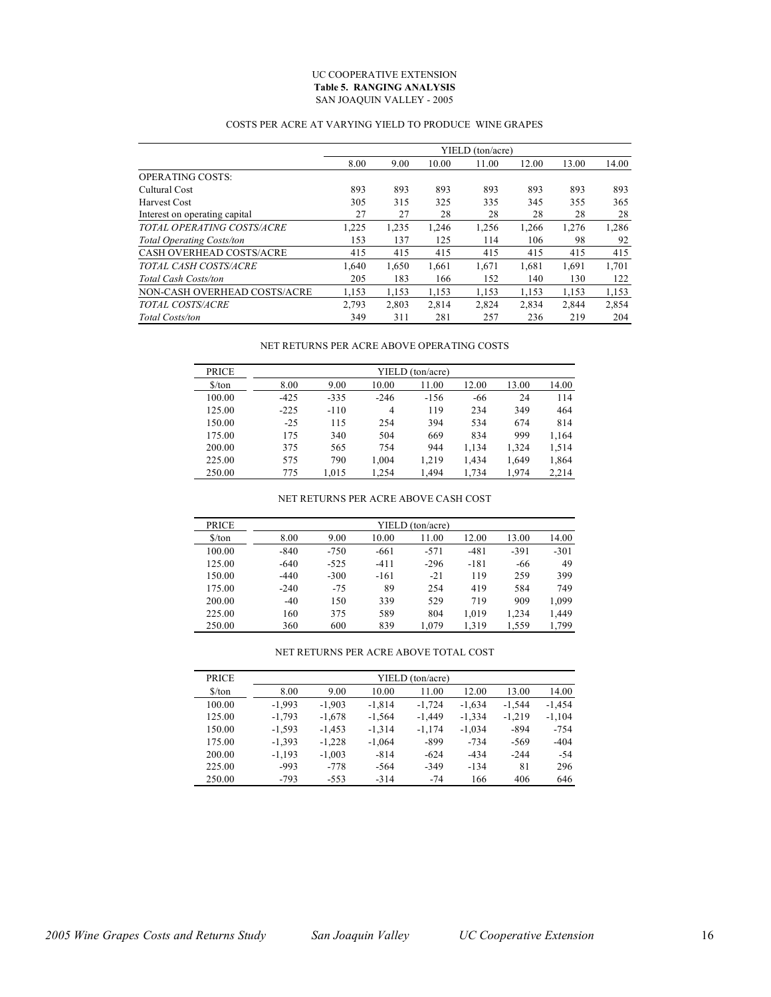#### UC COOPERATIVE EXTENSION **Table 5. RANGING ANALYSIS** SAN JOAQUIN VALLEY - 2005

### COSTS PER ACRE AT VARYING YIELD TO PRODUCE WINE GRAPES

|                                  |       |       |       | YIELD (ton/acre) |       |       |       |
|----------------------------------|-------|-------|-------|------------------|-------|-------|-------|
|                                  | 8.00  | 9.00  | 10.00 | 11.00            | 12.00 | 13.00 | 14.00 |
| <b>OPERATING COSTS:</b>          |       |       |       |                  |       |       |       |
| Cultural Cost                    | 893   | 893   | 893   | 893              | 893   | 893   | 893   |
| Harvest Cost                     | 305   | 315   | 325   | 335              | 345   | 355   | 365   |
| Interest on operating capital    | 27    | 27    | 28    | 28               | 28    | 28    | 28    |
| TOTAL OPERATING COSTS/ACRE       | 1,225 | 1,235 | 1,246 | 1,256            | 1,266 | 1,276 | 1,286 |
| <b>Total Operating Costs/ton</b> | 153   | 137   | 125   | 114              | 106   | 98    | 92    |
| <b>CASH OVERHEAD COSTS/ACRE</b>  | 415   | 415   | 415   | 415              | 415   | 415   | 415   |
| TOTAL CASH COSTS/ACRE            | 1.640 | 1.650 | 1,661 | 1,671            | 1.681 | 1.691 | 1,701 |
| <b>Total Cash Costs/ton</b>      | 205   | 183   | 166   | 152              | 140   | 130   | 122   |
| NON-CASH OVERHEAD COSTS/ACRE     | 1,153 | 1,153 | 1,153 | 1,153            | 1,153 | 1,153 | 1,153 |
| TOTAL COSTS/ACRE                 | 2,793 | 2,803 | 2,814 | 2,824            | 2,834 | 2,844 | 2,854 |
| Total Costs/ton                  | 349   | 311   | 281   | 257              | 236   | 219   | 204   |

#### NET RETURNS PER ACRE ABOVE OPERATING COSTS

| <b>PRICE</b>                  | YIELD (ton/acre) |        |        |        |       |       |       |  |  |  |  |
|-------------------------------|------------------|--------|--------|--------|-------|-------|-------|--|--|--|--|
| $\frac{\text{S}}{\text{ton}}$ | 8.00             | 9.00   | 10.00  | 11.00  | 12.00 | 13.00 | 14.00 |  |  |  |  |
| 100.00                        | $-425$           | $-335$ | $-246$ | $-156$ | -66   | 24    | 114   |  |  |  |  |
| 125.00                        | $-225$           | $-110$ | 4      | 119    | 234   | 349   | 464   |  |  |  |  |
| 150.00                        | $-25$            | 115    | 254    | 394    | 534   | 674   | 814   |  |  |  |  |
| 175.00                        | 175              | 340    | 504    | 669    | 834   | 999   | 1,164 |  |  |  |  |
| 200.00                        | 375              | 565    | 754    | 944    | 1,134 | 1.324 | 1,514 |  |  |  |  |
| 225.00                        | 575              | 790    | 1,004  | 1,219  | 1,434 | 1,649 | 1,864 |  |  |  |  |
| 250.00                        | 775              | 1.015  | 1.254  | 1,494  | 1,734 | 1.974 | 2,214 |  |  |  |  |

#### NET RETURNS PER ACRE ABOVE CASH COST

| <b>PRICE</b>                  | YIELD (ton/acre) |        |        |        |        |        |        |  |  |  |  |  |
|-------------------------------|------------------|--------|--------|--------|--------|--------|--------|--|--|--|--|--|
| $\frac{\text{S}}{\text{ton}}$ | 8.00             | 9.00   | 10.00  | 11.00  | 12.00  | 13.00  | 14.00  |  |  |  |  |  |
| 100.00                        | $-840$           | $-750$ | $-661$ | $-571$ | $-481$ | $-391$ | $-301$ |  |  |  |  |  |
| 125.00                        | $-640$           | $-525$ | $-411$ | $-296$ | $-181$ | -66    | 49     |  |  |  |  |  |
| 150.00                        | $-440$           | $-300$ | $-161$ | $-21$  | 119    | 259    | 399    |  |  |  |  |  |
| 175.00                        | $-240$           | $-75$  | 89     | 254    | 419    | 584    | 749    |  |  |  |  |  |
| 200.00                        | $-40$            | 150    | 339    | 529    | 719    | 909    | 1,099  |  |  |  |  |  |
| 225.00                        | 160              | 375    | 589    | 804    | 1.019  | 1,234  | 1,449  |  |  |  |  |  |
| 250.00                        | 360              | 600    | 839    | 1,079  | 1,319  | 1.559  | 1,799  |  |  |  |  |  |

#### NET RETURNS PER ACRE ABOVE TOTAL COST

| <b>PRICE</b>                  | YIELD (ton/acre) |          |          |          |          |          |          |  |  |  |  |
|-------------------------------|------------------|----------|----------|----------|----------|----------|----------|--|--|--|--|
| $\frac{\text{S}}{\text{ton}}$ | 8.00             | 9.00     | 10.00    | 11.00    | 12.00    | 13.00    | 14.00    |  |  |  |  |
| 100.00                        | $-1.993$         | $-1.903$ | $-1,814$ | $-1,724$ | $-1,634$ | $-1.544$ | $-1.454$ |  |  |  |  |
| 125.00                        | $-1,793$         | $-1,678$ | $-1,564$ | $-1,449$ | $-1,334$ | $-1,219$ | $-1,104$ |  |  |  |  |
| 150.00                        | $-1.593$         | $-1.453$ | $-1.314$ | $-1.174$ | $-1,034$ | -894     | $-754$   |  |  |  |  |
| 175.00                        | $-1,393$         | $-1,228$ | $-1,064$ | -899     | $-734$   | $-569$   | $-404$   |  |  |  |  |
| 200.00                        | $-1,193$         | $-1,003$ | $-814$   | $-624$   | $-434$   | $-244$   | $-54$    |  |  |  |  |
| 225.00                        | $-993$           | $-778$   | $-564$   | $-349$   | $-134$   | 81       | 296      |  |  |  |  |
| 250.00                        | $-793$           | $-553$   | $-314$   | $-74$    | 166      | 406      | 646      |  |  |  |  |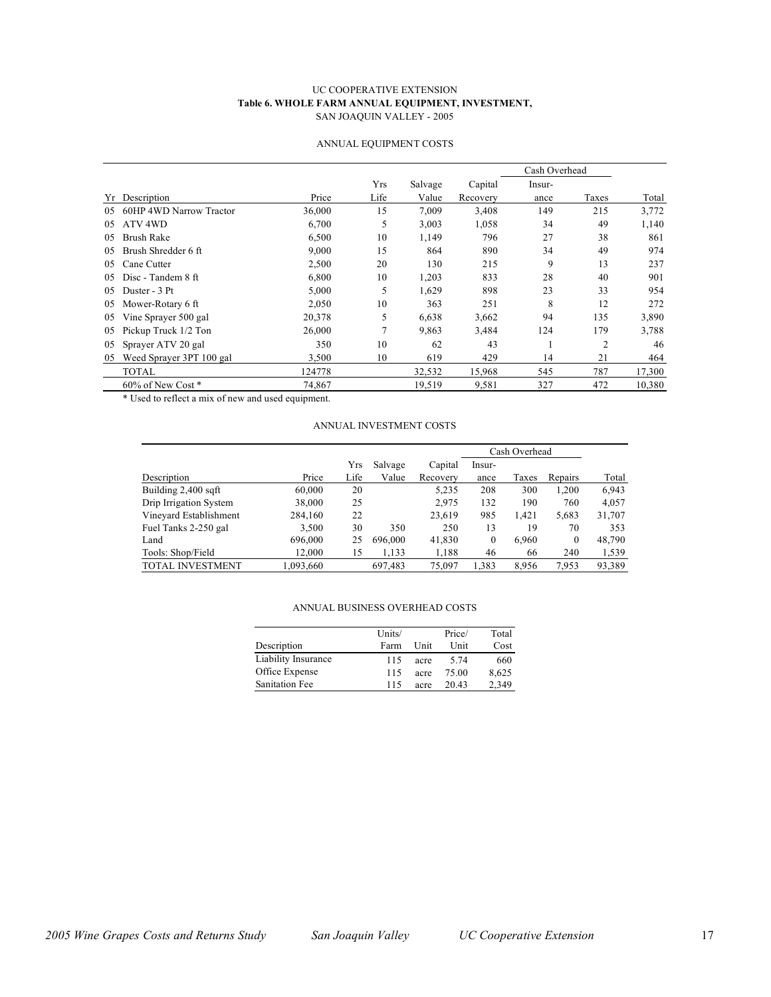#### UC COOPERATIVE EXTENSION **Table 6. WHOLE FARM ANNUAL EQUIPMENT, INVESTMENT,** SAN JOAQUIN VALLEY - 2005

|    |                          |        |                |         |          |        | Cash Overhead |        |  |
|----|--------------------------|--------|----------------|---------|----------|--------|---------------|--------|--|
|    |                          |        | Yrs            | Salvage | Capital  | Insur- |               |        |  |
| Yr | Description              | Price  | Life           | Value   | Recovery | ance   | Taxes         | Total  |  |
| 05 | 60HP 4WD Narrow Tractor  | 36,000 | 15             | 7,009   | 3,408    | 149    | 215           | 3,772  |  |
| 05 | ATV 4WD                  | 6,700  | 5              | 3,003   | 1,058    | 34     | 49            | 1,140  |  |
| 05 | <b>Brush Rake</b>        | 6,500  | 10             | 1,149   | 796      | 27     | 38            | 861    |  |
| 05 | Brush Shredder 6 ft      | 9,000  | 15             | 864     | 890      | 34     | 49            | 974    |  |
| 05 | Cane Cutter              | 2,500  | 20             | 130     | 215      | 9      | 13            | 237    |  |
| 05 | Disc - Tandem 8 ft       | 6,800  | 10             | 1,203   | 833      | 28     | 40            | 901    |  |
| 05 | Duster - 3 Pt            | 5,000  | 5              | 1,629   | 898      | 23     | 33            | 954    |  |
| 05 | Mower-Rotary 6 ft        | 2,050  | 10             | 363     | 251      | 8      | 12            | 272    |  |
| 05 | Vine Sprayer 500 gal     | 20,378 | 5              | 6,638   | 3,662    | 94     | 135           | 3,890  |  |
| 05 | Pickup Truck 1/2 Ton     | 26,000 | $\overline{7}$ | 9,863   | 3,484    | 124    | 179           | 3,788  |  |
| 05 | Sprayer ATV 20 gal       | 350    | 10             | 62      | 43       |        | 2             | 46     |  |
| 05 | Weed Sprayer 3PT 100 gal | 3,500  | 10             | 619     | 429      | 14     | 21            | 464    |  |
|    | <b>TOTAL</b>             | 124778 |                | 32,532  | 15,968   | 545    | 787           | 17,300 |  |
|    | 60% of New Cost *        | 74,867 |                | 19,519  | 9,581    | 327    | 472           | 10,380 |  |

#### ANNUAL EQUIPMENT COSTS

\* Used to reflect a mix of new and used equipment.

#### ANNUAL INVESTMENT COSTS

|                         |           |      |         |          | Cash Overhead |       |          |        |
|-------------------------|-----------|------|---------|----------|---------------|-------|----------|--------|
|                         |           | Yrs  | Salvage | Capital  | Insur-        |       |          |        |
| Description             | Price     | Life | Value   | Recovery | ance          | Taxes | Repairs  | Total  |
| Building 2,400 sqft     | 60,000    | 20   |         | 5,235    | 208           | 300   | 1,200    | 6,943  |
| Drip Irrigation System  | 38,000    | 25   |         | 2,975    | 132           | 190   | 760      | 4,057  |
| Vineyard Establishment  | 284,160   | 22   |         | 23,619   | 985           | 1,421 | 5,683    | 31,707 |
| Fuel Tanks 2-250 gal    | 3,500     | 30   | 350     | 250      | 13            | 19    | 70       | 353    |
| Land                    | 696,000   | 25   | 696,000 | 41,830   | $\mathbf{0}$  | 6,960 | $\Omega$ | 48,790 |
| Tools: Shop/Field       | 12,000    | 15   | 1,133   | 1,188    | 46            | 66    | 240      | 1,539  |
| <b>TOTAL INVESTMENT</b> | 1,093,660 |      | 697,483 | 75,097   | 1,383         | 8,956 | 7,953    | 93,389 |

#### ANNUAL BUSINESS OVERHEAD COSTS

|                       | Units/ |      | Price/ | Total |
|-----------------------|--------|------|--------|-------|
| Description           | Farm   | Unit | Unit   | Cost  |
| Liability Insurance   | 115    | acre | 5 74   | 660   |
| Office Expense        | 115    | acre | 75.00  | 8,625 |
| <b>Sanitation Fee</b> | 115    | acre | 20.43  | 2,349 |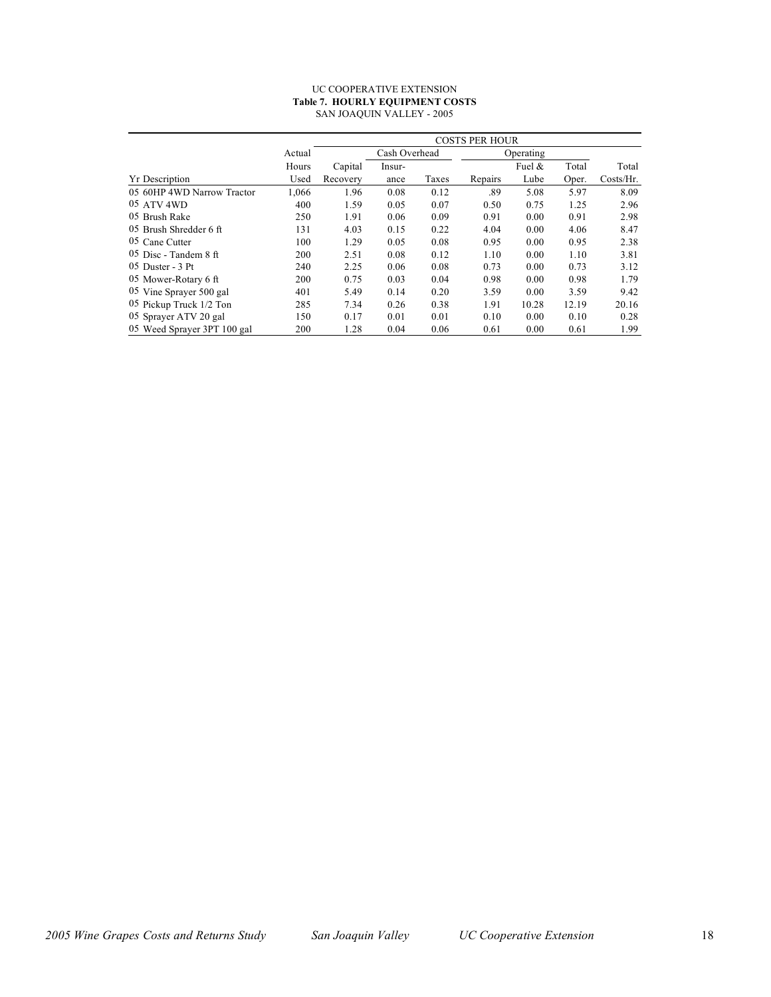#### UC COOPERATIVE EXTENSION **Table 7. HOURLY EQUIPMENT COSTS** SAN JOAQUIN VALLEY - 2005

|                             |        | <b>COSTS PER HOUR</b> |        |           |         |           |       |           |  |  |
|-----------------------------|--------|-----------------------|--------|-----------|---------|-----------|-------|-----------|--|--|
|                             | Actual | Cash Overhead         |        | Operating |         |           |       |           |  |  |
|                             | Hours  | Capital               | Insur- |           |         | Fuel $\&$ | Total | Total     |  |  |
| <b>Yr</b> Description       | Used   | Recovery              | ance   | Taxes     | Repairs | Lube      | Oper. | Costs/Hr. |  |  |
| 05 60HP 4WD Narrow Tractor  | 1,066  | 1.96                  | 0.08   | 0.12      | .89     | 5.08      | 5.97  | 8.09      |  |  |
| 05 ATV 4WD                  | 400    | 1.59                  | 0.05   | 0.07      | 0.50    | 0.75      | 1.25  | 2.96      |  |  |
| 05 Brush Rake               | 250    | 1.91                  | 0.06   | 0.09      | 0.91    | 0.00      | 0.91  | 2.98      |  |  |
| 05 Brush Shredder 6 ft      | 131    | 4.03                  | 0.15   | 0.22      | 4.04    | 0.00      | 4.06  | 8.47      |  |  |
| 05 Cane Cutter              | 100    | 1.29                  | 0.05   | 0.08      | 0.95    | 0.00      | 0.95  | 2.38      |  |  |
| 05 Disc - Tandem 8 ft       | 200    | 2.51                  | 0.08   | 0.12      | 1.10    | 0.00      | 1.10  | 3.81      |  |  |
| 05 Duster - 3 Pt            | 240    | 2.25                  | 0.06   | 0.08      | 0.73    | 0.00      | 0.73  | 3.12      |  |  |
| 05 Mower-Rotary 6 ft        | 200    | 0.75                  | 0.03   | 0.04      | 0.98    | 0.00      | 0.98  | 1.79      |  |  |
| 05 Vine Sprayer 500 gal     | 401    | 5.49                  | 0.14   | 0.20      | 3.59    | 0.00      | 3.59  | 9.42      |  |  |
| 05 Pickup Truck 1/2 Ton     | 285    | 7.34                  | 0.26   | 0.38      | 1.91    | 10.28     | 12.19 | 20.16     |  |  |
| 05 Sprayer ATV 20 gal       | 150    | 0.17                  | 0.01   | 0.01      | 0.10    | 0.00      | 0.10  | 0.28      |  |  |
| 05 Weed Sprayer 3PT 100 gal | 200    | 1.28                  | 0.04   | 0.06      | 0.61    | 0.00      | 0.61  | 1.99      |  |  |